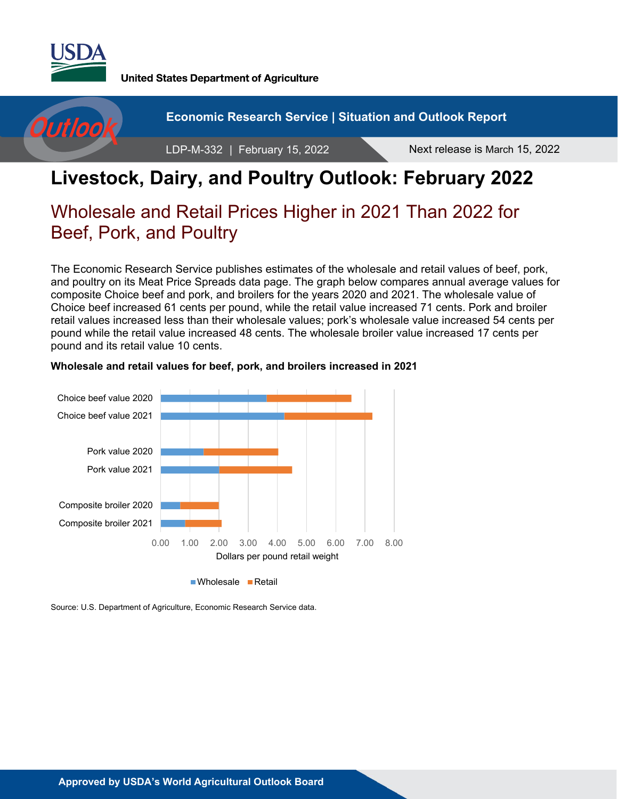

**United States Department of Agriculture** 



# **Livestock, Dairy, and Poultry Outlook: February 2022**

# Wholesale and Retail Prices Higher in 2021 Than 2022 for Beef, Pork, and Poultry

The Economic Research Service publishes estimates of the wholesale and retail values of beef, pork, and poultry on its Meat Price Spreads data page. The graph below compares annual average values for composite Choice beef and pork, and broilers for the years 2020 and 2021. The wholesale value of Choice beef increased 61 cents per pound, while the retail value increased 71 cents. Pork and broiler retail values increased less than their wholesale values; pork's wholesale value increased 54 cents per pound while the retail value increased 48 cents. The wholesale broiler value increased 17 cents per pound and its retail value 10 cents.



#### **Wholesale and retail values for beef, pork, and broilers increased in 2021**

Source: U.S. Department of Agriculture, Economic Research Service data.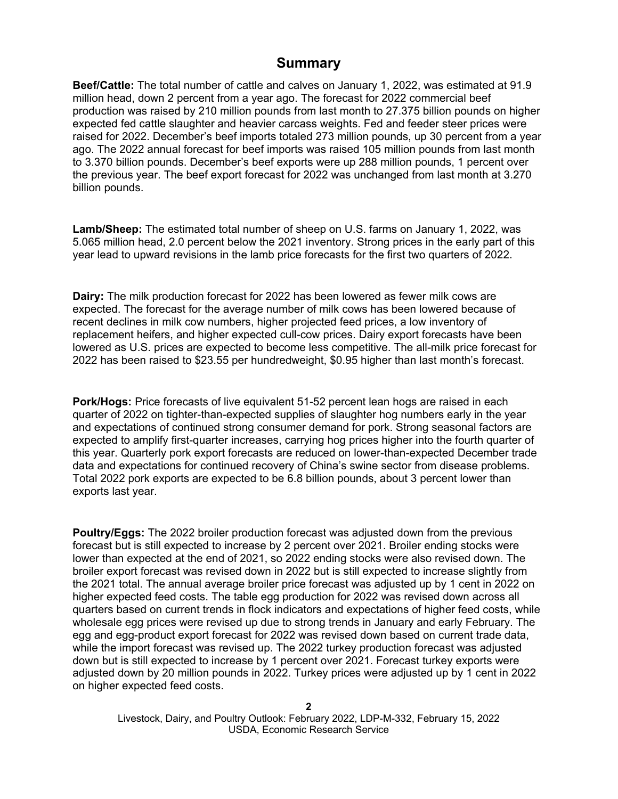#### **Summary**

**Beef/Cattle:** The total number of cattle and calves on January 1, 2022, was estimated at 91.9 million head, down 2 percent from a year ago. The forecast for 2022 commercial beef production was raised by 210 million pounds from last month to 27.375 billion pounds on higher expected fed cattle slaughter and heavier carcass weights. Fed and feeder steer prices were raised for 2022. December's beef imports totaled 273 million pounds, up 30 percent from a year ago. The 2022 annual forecast for beef imports was raised 105 million pounds from last month to 3.370 billion pounds. December's beef exports were up 288 million pounds, 1 percent over the previous year. The beef export forecast for 2022 was unchanged from last month at 3.270 billion pounds.

**Lamb/Sheep:** The estimated total number of sheep on U.S. farms on January 1, 2022, was 5.065 million head, 2.0 percent below the 2021 inventory. Strong prices in the early part of this year lead to upward revisions in the lamb price forecasts for the first two quarters of 2022.

**Dairy:** The milk production forecast for 2022 has been lowered as fewer milk cows are expected. The forecast for the average number of milk cows has been lowered because of recent declines in milk cow numbers, higher projected feed prices, a low inventory of replacement heifers, and higher expected cull-cow prices. Dairy export forecasts have been lowered as U.S. prices are expected to become less competitive. The all-milk price forecast for 2022 has been raised to \$23.55 per hundredweight, \$0.95 higher than last month's forecast.

**Pork/Hogs:** Price forecasts of live equivalent 51-52 percent lean hogs are raised in each quarter of 2022 on tighter-than-expected supplies of slaughter hog numbers early in the year and expectations of continued strong consumer demand for pork. Strong seasonal factors are expected to amplify first-quarter increases, carrying hog prices higher into the fourth quarter of this year. Quarterly pork export forecasts are reduced on lower-than-expected December trade data and expectations for continued recovery of China's swine sector from disease problems. Total 2022 pork exports are expected to be 6.8 billion pounds, about 3 percent lower than exports last year.

**Poultry/Eggs:** The 2022 broiler production forecast was adjusted down from the previous forecast but is still expected to increase by 2 percent over 2021. Broiler ending stocks were lower than expected at the end of 2021, so 2022 ending stocks were also revised down. The broiler export forecast was revised down in 2022 but is still expected to increase slightly from the 2021 total. The annual average broiler price forecast was adjusted up by 1 cent in 2022 on higher expected feed costs. The table egg production for 2022 was revised down across all quarters based on current trends in flock indicators and expectations of higher feed costs, while wholesale egg prices were revised up due to strong trends in January and early February. The egg and egg-product export forecast for 2022 was revised down based on current trade data, while the import forecast was revised up. The 2022 turkey production forecast was adjusted down but is still expected to increase by 1 percent over 2021. Forecast turkey exports were adjusted down by 20 million pounds in 2022. Turkey prices were adjusted up by 1 cent in 2022 on higher expected feed costs.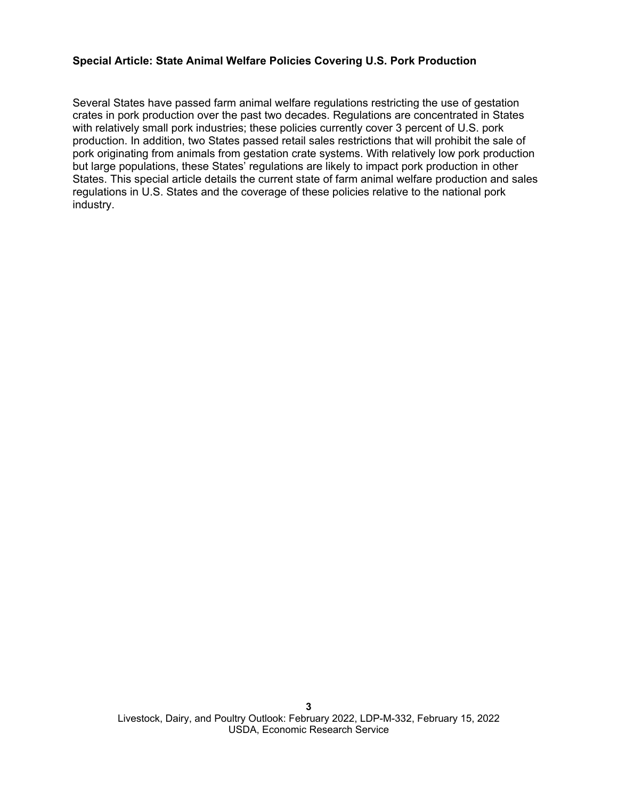#### **Special Article: State Animal Welfare Policies Covering U.S. Pork Production**

Several States have passed farm animal welfare regulations restricting the use of gestation crates in pork production over the past two decades. Regulations are concentrated in States with relatively small pork industries; these policies currently cover 3 percent of U.S. pork production. In addition, two States passed retail sales restrictions that will prohibit the sale of pork originating from animals from gestation crate systems. With relatively low pork production but large populations, these States' regulations are likely to impact pork production in other States. This special article details the current state of farm animal welfare production and sales regulations in U.S. States and the coverage of these policies relative to the national pork industry.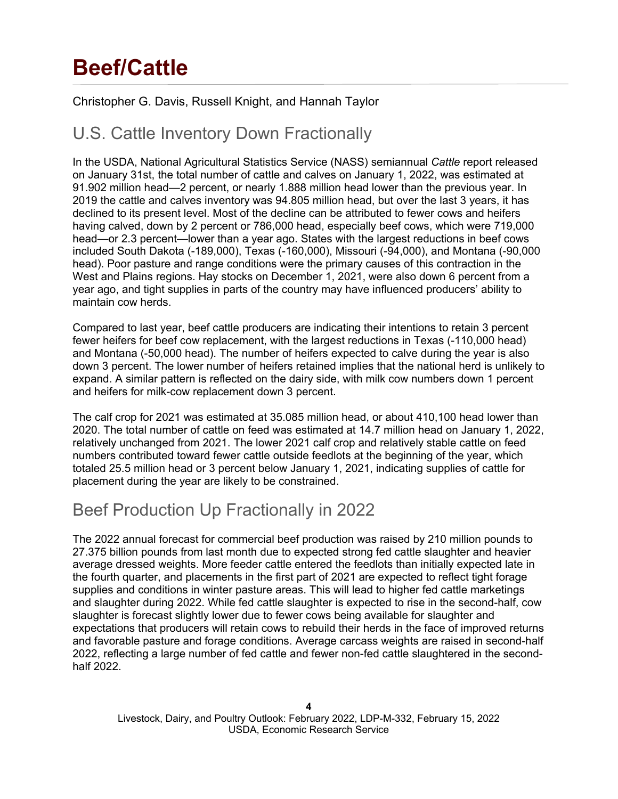# **Beef/Cattle**

### Christopher G. Davis, Russell Knight, and Hannah Taylor

# U.S. Cattle Inventory Down Fractionally

In the USDA, National Agricultural Statistics Service (NASS) semiannual *Cattle* report released on January 31st, the total number of cattle and calves on January 1, 2022, was estimated at 91.902 million head—2 percent, or nearly 1.888 million head lower than the previous year. In 2019 the cattle and calves inventory was 94.805 million head, but over the last 3 years, it has declined to its present level. Most of the decline can be attributed to fewer cows and heifers having calved, down by 2 percent or 786,000 head, especially beef cows, which were 719,000 head—or 2.3 percent—lower than a year ago. States with the largest reductions in beef cows included South Dakota (-189,000), Texas (-160,000), Missouri (-94,000), and Montana (-90,000 head). Poor pasture and range conditions were the primary causes of this contraction in the West and Plains regions. Hay stocks on December 1, 2021, were also down 6 percent from a year ago, and tight supplies in parts of the country may have influenced producers' ability to maintain cow herds.

Compared to last year, beef cattle producers are indicating their intentions to retain 3 percent fewer heifers for beef cow replacement, with the largest reductions in Texas (-110,000 head) and Montana (-50,000 head). The number of heifers expected to calve during the year is also down 3 percent. The lower number of heifers retained implies that the national herd is unlikely to expand. A similar pattern is reflected on the dairy side, with milk cow numbers down 1 percent and heifers for milk-cow replacement down 3 percent.

The calf crop for 2021 was estimated at 35.085 million head, or about 410,100 head lower than 2020. The total number of cattle on feed was estimated at 14.7 million head on January 1, 2022, relatively unchanged from 2021. The lower 2021 calf crop and relatively stable cattle on feed numbers contributed toward fewer cattle outside feedlots at the beginning of the year, which totaled 25.5 million head or 3 percent below January 1, 2021, indicating supplies of cattle for placement during the year are likely to be constrained.

# Beef Production Up Fractionally in 2022

The 2022 annual forecast for commercial beef production was raised by 210 million pounds to 27.375 billion pounds from last month due to expected strong fed cattle slaughter and heavier average dressed weights. More feeder cattle entered the feedlots than initially expected late in the fourth quarter, and placements in the first part of 2021 are expected to reflect tight forage supplies and conditions in winter pasture areas. This will lead to higher fed cattle marketings and slaughter during 2022. While fed cattle slaughter is expected to rise in the second-half, cow slaughter is forecast slightly lower due to fewer cows being available for slaughter and expectations that producers will retain cows to rebuild their herds in the face of improved returns and favorable pasture and forage conditions. Average carcass weights are raised in second-half 2022, reflecting a large number of fed cattle and fewer non-fed cattle slaughtered in the secondhalf 2022.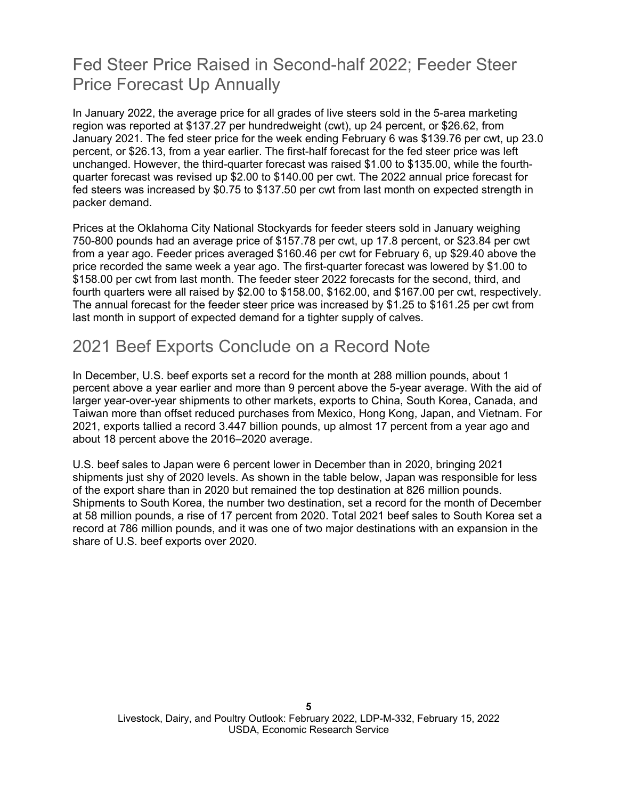# Fed Steer Price Raised in Second-half 2022; Feeder Steer Price Forecast Up Annually

In January 2022, the average price for all grades of live steers sold in the 5-area marketing region was reported at \$137.27 per hundredweight (cwt), up 24 percent, or \$26.62, from January 2021. The fed steer price for the week ending February 6 was \$139.76 per cwt, up 23.0 percent, or \$26.13, from a year earlier. The first-half forecast for the fed steer price was left unchanged. However, the third-quarter forecast was raised \$1.00 to \$135.00, while the fourthquarter forecast was revised up \$2.00 to \$140.00 per cwt. The 2022 annual price forecast for fed steers was increased by \$0.75 to \$137.50 per cwt from last month on expected strength in packer demand.

Prices at the Oklahoma City National Stockyards for feeder steers sold in January weighing 750-800 pounds had an average price of \$157.78 per cwt, up 17.8 percent, or \$23.84 per cwt from a year ago. Feeder prices averaged \$160.46 per cwt for February 6, up \$29.40 above the price recorded the same week a year ago. The first-quarter forecast was lowered by \$1.00 to \$158.00 per cwt from last month. The feeder steer 2022 forecasts for the second, third, and fourth quarters were all raised by \$2.00 to \$158.00, \$162.00, and \$167.00 per cwt, respectively. The annual forecast for the feeder steer price was increased by \$1.25 to \$161.25 per cwt from last month in support of expected demand for a tighter supply of calves.

## 2021 Beef Exports Conclude on a Record Note

In December, U.S. beef exports set a record for the month at 288 million pounds, about 1 percent above a year earlier and more than 9 percent above the 5-year average. With the aid of larger year-over-year shipments to other markets, exports to China, South Korea, Canada, and Taiwan more than offset reduced purchases from Mexico, Hong Kong, Japan, and Vietnam. For 2021, exports tallied a record 3.447 billion pounds, up almost 17 percent from a year ago and about 18 percent above the 2016–2020 average.

U.S. beef sales to Japan were 6 percent lower in December than in 2020, bringing 2021 shipments just shy of 2020 levels. As shown in the table below, Japan was responsible for less of the export share than in 2020 but remained the top destination at 826 million pounds. Shipments to South Korea, the number two destination, set a record for the month of December at 58 million pounds, a rise of 17 percent from 2020. Total 2021 beef sales to South Korea set a record at 786 million pounds, and it was one of two major destinations with an expansion in the share of U.S. beef exports over 2020.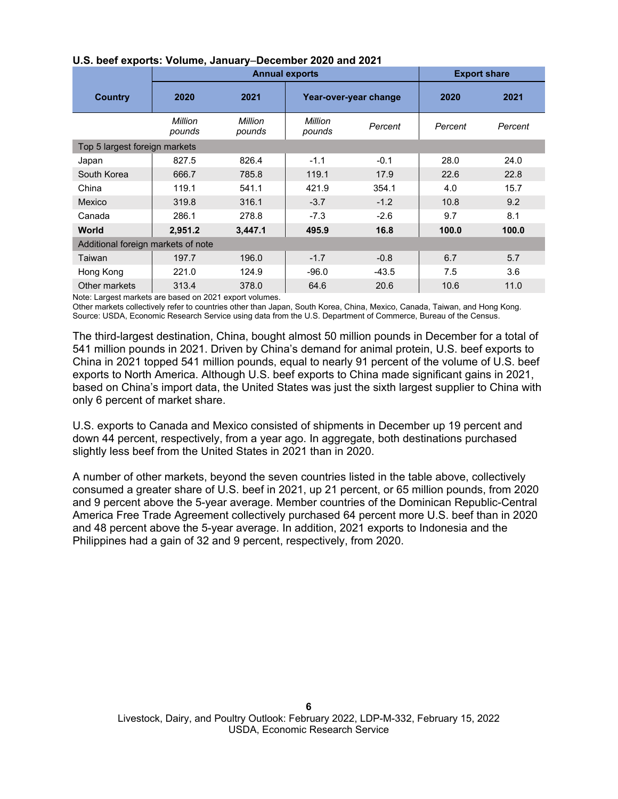|                                    | <b>Annual exports</b> |                   |                   |                       | <b>Export share</b> |         |
|------------------------------------|-----------------------|-------------------|-------------------|-----------------------|---------------------|---------|
| Country                            | 2020                  | 2021              |                   | Year-over-year change | 2020                | 2021    |
|                                    | Million<br>pounds     | Million<br>pounds | Million<br>pounds | Percent               | Percent             | Percent |
| Top 5 largest foreign markets      |                       |                   |                   |                       |                     |         |
| Japan                              | 827.5                 | 826.4             | $-1.1$            | $-0.1$                | 28.0                | 24.0    |
| South Korea                        | 666.7                 | 785.8             | 119.1             | 17.9                  | 22.6                | 22.8    |
| China                              | 119.1                 | 541.1             | 421.9             | 354.1                 | 4.0                 | 15.7    |
| Mexico                             | 319.8                 | 316.1             | $-3.7$            | $-1.2$                | 10.8                | 9.2     |
| Canada                             | 286.1                 | 278.8             | $-7.3$            | $-2.6$                | 9.7                 | 8.1     |
| World                              | 2.951.2               | 3,447.1           | 495.9             | 16.8                  | 100.0               | 100.0   |
| Additional foreign markets of note |                       |                   |                   |                       |                     |         |
| Taiwan                             | 197.7                 | 196.0             | $-1.7$            | $-0.8$                | 6.7                 | 5.7     |
| Hong Kong                          | 221.0                 | 124.9             | $-96.0$           | $-43.5$               | 7.5                 | 3.6     |
| Other markets                      | 313.4                 | 378.0             | 64.6              | 20.6                  | 10.6                | 11.0    |

#### **U.S. beef exports: Volume, January**–**December 2020 and 2021**

Note: Largest markets are based on 2021 export volumes.

Other markets collectively refer to countries other than Japan, South Korea, China, Mexico, Canada, Taiwan, and Hong Kong. Source: USDA, Economic Research Service using data from the U.S. Department of Commerce, Bureau of the Census.

The third-largest destination, China, bought almost 50 million pounds in December for a total of 541 million pounds in 2021. Driven by China's demand for animal protein, U.S. beef exports to China in 2021 topped 541 million pounds, equal to nearly 91 percent of the volume of U.S. beef exports to North America. Although U.S. beef exports to China made significant gains in 2021, based on China's import data, the United States was just the sixth largest supplier to China with only 6 percent of market share.

U.S. exports to Canada and Mexico consisted of shipments in December up 19 percent and down 44 percent, respectively, from a year ago. In aggregate, both destinations purchased slightly less beef from the United States in 2021 than in 2020.

A number of other markets, beyond the seven countries listed in the table above, collectively consumed a greater share of U.S. beef in 2021, up 21 percent, or 65 million pounds, from 2020 and 9 percent above the 5-year average. Member countries of the Dominican Republic-Central America Free Trade Agreement collectively purchased 64 percent more U.S. beef than in 2020 and 48 percent above the 5-year average. In addition, 2021 exports to Indonesia and the Philippines had a gain of 32 and 9 percent, respectively, from 2020.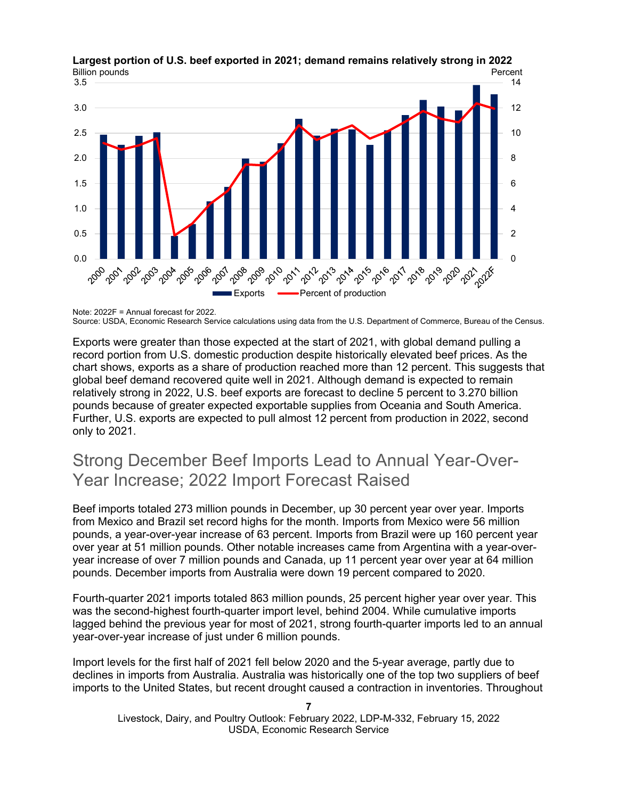

**Largest portion of U.S. beef exported in 2021; demand remains relatively strong in 2022**

Exports were greater than those expected at the start of 2021, with global demand pulling a record portion from U.S. domestic production despite historically elevated beef prices. As the chart shows, exports as a share of production reached more than 12 percent. This suggests that global beef demand recovered quite well in 2021. Although demand is expected to remain relatively strong in 2022, U.S. beef exports are forecast to decline 5 percent to 3.270 billion pounds because of greater expected exportable supplies from Oceania and South America. Further, U.S. exports are expected to pull almost 12 percent from production in 2022, second only to 2021.

## Strong December Beef Imports Lead to Annual Year-Over-Year Increase; 2022 Import Forecast Raised

Beef imports totaled 273 million pounds in December, up 30 percent year over year. Imports from Mexico and Brazil set record highs for the month. Imports from Mexico were 56 million pounds, a year-over-year increase of 63 percent. Imports from Brazil were up 160 percent year over year at 51 million pounds. Other notable increases came from Argentina with a year-overyear increase of over 7 million pounds and Canada, up 11 percent year over year at 64 million pounds. December imports from Australia were down 19 percent compared to 2020.

Fourth-quarter 2021 imports totaled 863 million pounds, 25 percent higher year over year. This was the second-highest fourth-quarter import level, behind 2004. While cumulative imports lagged behind the previous year for most of 2021, strong fourth-quarter imports led to an annual year-over-year increase of just under 6 million pounds.

Import levels for the first half of 2021 fell below 2020 and the 5-year average, partly due to declines in imports from Australia. Australia was historically one of the top two suppliers of beef imports to the United States, but recent drought caused a contraction in inventories. Throughout

```
7
Livestock, Dairy, and Poultry Outlook: February 2022, LDP-M-332, February 15, 2022
                       USDA, Economic Research Service
```
Note: 2022F = Annual forecast for 2022. Source: USDA, Economic Research Service calculations using data from the U.S. Department of Commerce, Bureau of the Census.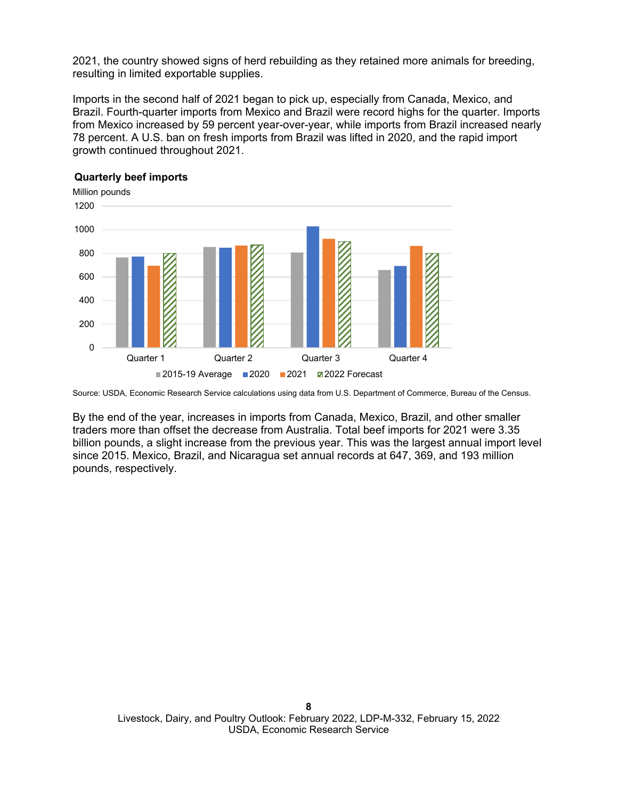2021, the country showed signs of herd rebuilding as they retained more animals for breeding, resulting in limited exportable supplies.

Imports in the second half of 2021 began to pick up, especially from Canada, Mexico, and Brazil. Fourth-quarter imports from Mexico and Brazil were record highs for the quarter. Imports from Mexico increased by 59 percent year-over-year, while imports from Brazil increased nearly 78 percent. A U.S. ban on fresh imports from Brazil was lifted in 2020, and the rapid import growth continued throughout 2021.



#### **Quarterly beef imports**

By the end of the year, increases in imports from Canada, Mexico, Brazil, and other smaller traders more than offset the decrease from Australia. Total beef imports for 2021 were 3.35 billion pounds, a slight increase from the previous year. This was the largest annual import level since 2015. Mexico, Brazil, and Nicaragua set annual records at 647, 369, and 193 million pounds, respectively.

Source: USDA, Economic Research Service calculations using data from U.S. Department of Commerce, Bureau of the Census.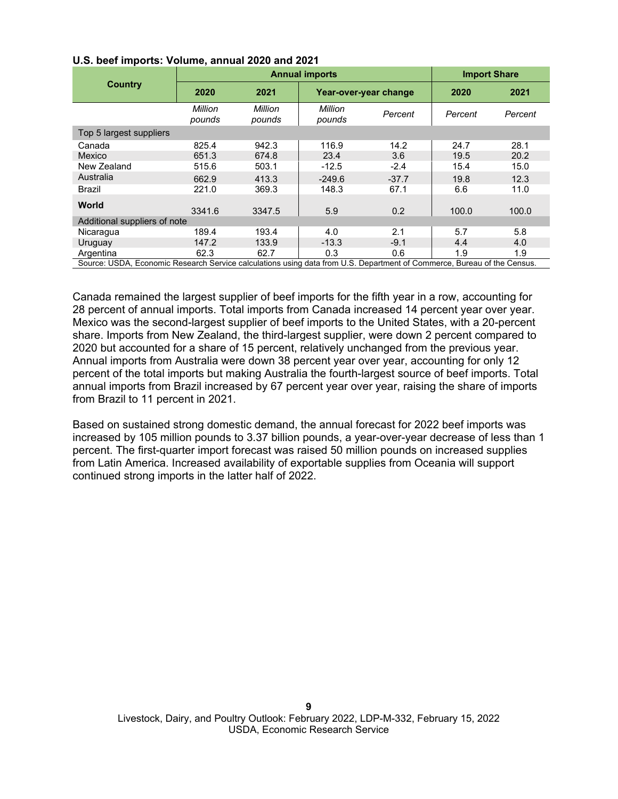|                                                                                                                         |                   | <b>Annual imports</b> | <b>Import Share</b> |                       |         |         |
|-------------------------------------------------------------------------------------------------------------------------|-------------------|-----------------------|---------------------|-----------------------|---------|---------|
| <b>Country</b>                                                                                                          | 2020              | 2021                  |                     | Year-over-year change |         | 2021    |
|                                                                                                                         | Million<br>pounds | Million<br>pounds     | Million<br>pounds   | Percent               | Percent | Percent |
| Top 5 largest suppliers                                                                                                 |                   |                       |                     |                       |         |         |
| Canada                                                                                                                  | 825.4             | 942.3                 | 116.9               | 14.2                  | 24.7    | 28.1    |
| Mexico                                                                                                                  | 651.3             | 674.8                 | 23.4                | 3.6                   | 19.5    | 20.2    |
| New Zealand                                                                                                             | 515.6             | 503.1                 | $-12.5$             | $-2.4$                | 15.4    | 15.0    |
| Australia                                                                                                               | 662.9             | 413.3                 | $-249.6$            | $-37.7$               | 19.8    | 12.3    |
| Brazil                                                                                                                  | 221.0             | 369.3                 | 148.3               | 67.1                  | 6.6     | 11.0    |
| <b>World</b>                                                                                                            | 3341.6            | 3347.5                | 5.9                 | 0.2                   | 100.0   | 100.0   |
| Additional suppliers of note                                                                                            |                   |                       |                     |                       |         |         |
| Nicaragua                                                                                                               | 189.4             | 193.4                 | 4.0                 | 2.1                   | 5.7     | 5.8     |
| Uruguay                                                                                                                 | 147.2             | 133.9                 | $-13.3$             | $-9.1$                | 4.4     | 4.0     |
| Argentina                                                                                                               | 62.3              | 62.7                  | 0.3                 | 0.6                   | 1.9     | 1.9     |
| Source: USDA, Economic Research Service calculations using data from U.S. Department of Commerce, Bureau of the Census. |                   |                       |                     |                       |         |         |

#### **U.S. beef imports: Volume, annual 2020 and 2021**

Canada remained the largest supplier of beef imports for the fifth year in a row, accounting for 28 percent of annual imports. Total imports from Canada increased 14 percent year over year. Mexico was the second-largest supplier of beef imports to the United States, with a 20-percent share. Imports from New Zealand, the third-largest supplier, were down 2 percent compared to 2020 but accounted for a share of 15 percent, relatively unchanged from the previous year. Annual imports from Australia were down 38 percent year over year, accounting for only 12 percent of the total imports but making Australia the fourth-largest source of beef imports. Total annual imports from Brazil increased by 67 percent year over year, raising the share of imports from Brazil to 11 percent in 2021.

Based on sustained strong domestic demand, the annual forecast for 2022 beef imports was increased by 105 million pounds to 3.37 billion pounds, a year-over-year decrease of less than 1 percent. The first-quarter import forecast was raised 50 million pounds on increased supplies from Latin America. Increased availability of exportable supplies from Oceania will support continued strong imports in the latter half of 2022.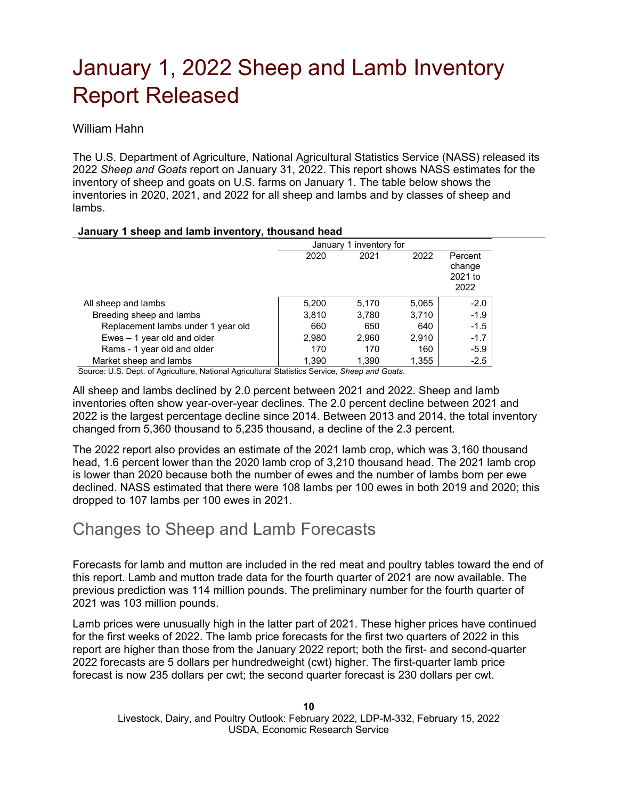# January 1, 2022 Sheep and Lamb Inventory Report Released

William Hahn

The U.S. Department of Agriculture, National Agricultural Statistics Service (NASS) released its 2022 *Sheep and Goats* report on January 31, 2022. This report shows NASS estimates for the inventory of sheep and goats on U.S. farms on January 1. The table below shows the inventories in 2020, 2021, and 2022 for all sheep and lambs and by classes of sheep and lambs.

#### **January 1 sheep and lamb inventory, thousand head**

|                                    | January 1 inventory for |       |       |                                      |
|------------------------------------|-------------------------|-------|-------|--------------------------------------|
|                                    | 2020                    | 2021  | 2022  | Percent<br>change<br>2021 to<br>2022 |
| All sheep and lambs                | 5,200                   | 5.170 | 5,065 | $-2.0$                               |
| Breeding sheep and lambs           | 3,810                   | 3,780 | 3,710 | $-1.9$                               |
| Replacement lambs under 1 year old | 660                     | 650   | 640   | $-1.5$                               |
| Ewes $-1$ year old and older       | 2,980                   | 2,960 | 2,910 | $-1.7$                               |
| Rams - 1 year old and older        | 170                     | 170   | 160   | $-5.9$                               |
| Market sheep and lambs             | 1.390                   | 1.390 | 1,355 | $-2.5$                               |

Source: U.S. Dept. of Agriculture, National Agricultural Statistics Service, *Sheep and Goats*.

All sheep and lambs declined by 2.0 percent between 2021 and 2022. Sheep and lamb inventories often show year-over-year declines. The 2.0 percent decline between 2021 and 2022 is the largest percentage decline since 2014. Between 2013 and 2014, the total inventory changed from 5,360 thousand to 5,235 thousand, a decline of the 2.3 percent.

The 2022 report also provides an estimate of the 2021 lamb crop, which was 3,160 thousand head, 1.6 percent lower than the 2020 lamb crop of 3,210 thousand head. The 2021 lamb crop is lower than 2020 because both the number of ewes and the number of lambs born per ewe declined. NASS estimated that there were 108 lambs per 100 ewes in both 2019 and 2020; this dropped to 107 lambs per 100 ewes in 2021.

### Changes to Sheep and Lamb Forecasts

Forecasts for lamb and mutton are included in the red meat and poultry tables toward the end of this report. Lamb and mutton trade data for the fourth quarter of 2021 are now available. The previous prediction was 114 million pounds. The preliminary number for the fourth quarter of 2021 was 103 million pounds.

Lamb prices were unusually high in the latter part of 2021. These higher prices have continued for the first weeks of 2022. The lamb price forecasts for the first two quarters of 2022 in this report are higher than those from the January 2022 report; both the first- and second-quarter 2022 forecasts are 5 dollars per hundredweight (cwt) higher. The first-quarter lamb price forecast is now 235 dollars per cwt; the second quarter forecast is 230 dollars per cwt.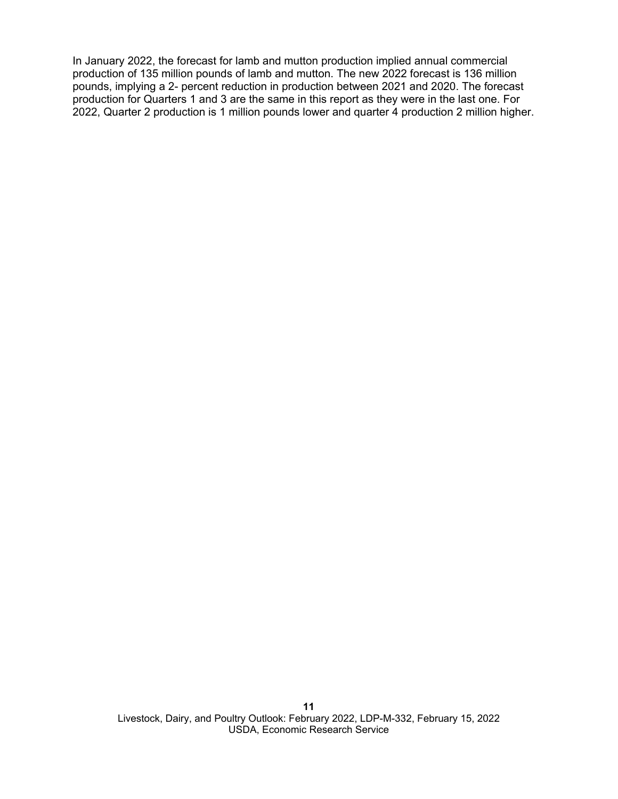In January 2022, the forecast for lamb and mutton production implied annual commercial production of 135 million pounds of lamb and mutton. The new 2022 forecast is 136 million pounds, implying a 2- percent reduction in production between 2021 and 2020. The forecast production for Quarters 1 and 3 are the same in this report as they were in the last one. For 2022, Quarter 2 production is 1 million pounds lower and quarter 4 production 2 million higher.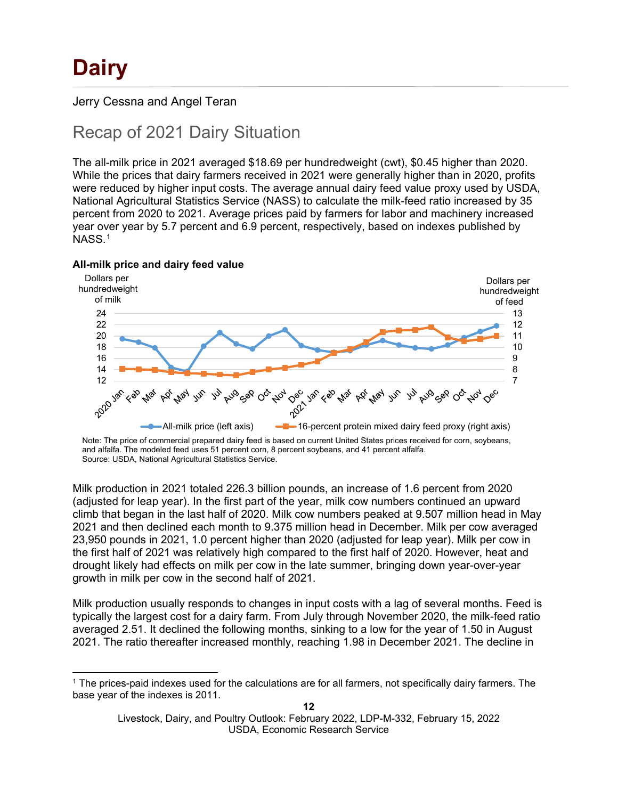Jerry Cessna and Angel Teran

# Recap of 2021 Dairy Situation

The all-milk price in 2021 averaged \$18.69 per hundredweight (cwt), \$0.45 higher than 2020. While the prices that dairy farmers received in 2021 were generally higher than in 2020, profits were reduced by higher input costs. The average annual dairy feed value proxy used by USDA, National Agricultural Statistics Service (NASS) to calculate the milk-feed ratio increased by 35 percent from 2020 to 2021. Average prices paid by farmers for labor and machinery increased year over year by 5.7 percent and 6.9 percent, respectively, based on indexes published by NASS.[1](#page-11-0)





Note: The price of commercial prepared dairy feed is based on current United States prices received for corn, soybeans, and alfalfa. The modeled feed uses 51 percent corn, 8 percent soybeans, and 41 percent alfalfa. Source: USDA, National Agricultural Statistics Service.

Milk production in 2021 totaled 226.3 billion pounds, an increase of 1.6 percent from 2020 (adjusted for leap year). In the first part of the year, milk cow numbers continued an upward climb that began in the last half of 2020. Milk cow numbers peaked at 9.507 million head in May 2021 and then declined each month to 9.375 million head in December. Milk per cow averaged 23,950 pounds in 2021, 1.0 percent higher than 2020 (adjusted for leap year). Milk per cow in the first half of 2021 was relatively high compared to the first half of 2020. However, heat and drought likely had effects on milk per cow in the late summer, bringing down year-over-year growth in milk per cow in the second half of 2021.

Milk production usually responds to changes in input costs with a lag of several months. Feed is typically the largest cost for a dairy farm. From July through November 2020, the milk-feed ratio averaged 2.51. It declined the following months, sinking to a low for the year of 1.50 in August 2021. The ratio thereafter increased monthly, reaching 1.98 in December 2021. The decline in

<span id="page-11-0"></span><sup>1</sup> The prices-paid indexes used for the calculations are for all farmers, not specifically dairy farmers. The base year of the indexes is 2011.

Livestock, Dairy, and Poultry Outlook: February 2022, LDP-M-332, February 15, 2022 USDA, Economic Research Service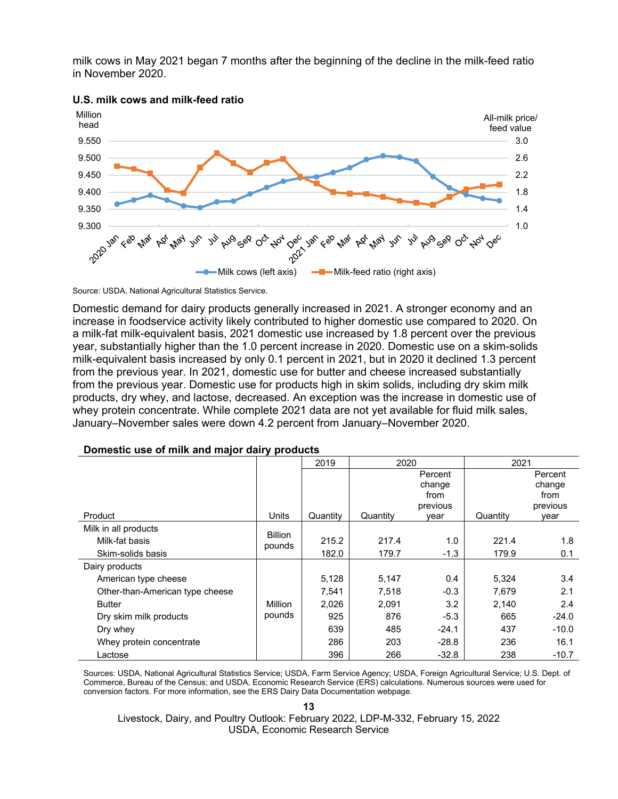milk cows in May 2021 began 7 months after the beginning of the decline in the milk-feed ratio in November 2020.





Source: USDA, National Agricultural Statistics Service.

Domestic demand for dairy products generally increased in 2021. A stronger economy and an increase in foodservice activity likely contributed to higher domestic use compared to 2020. On a milk-fat milk-equivalent basis, 2021 domestic use increased by 1.8 percent over the previous year, substantially higher than the 1.0 percent increase in 2020. Domestic use on a skim-solids milk-equivalent basis increased by only 0.1 percent in 2021, but in 2020 it declined 1.3 percent from the previous year. In 2021, domestic use for butter and cheese increased substantially from the previous year. Domestic use for products high in skim solids, including dry skim milk products, dry whey, and lactose, decreased. An exception was the increase in domestic use of whey protein concentrate. While complete 2021 data are not yet available for fluid milk sales, January–November sales were down 4.2 percent from January–November 2020.

|                                 |                | 2019     | 2020     |          | 2021     |          |
|---------------------------------|----------------|----------|----------|----------|----------|----------|
|                                 |                |          |          | Percent  |          | Percent  |
|                                 |                |          |          | change   |          | change   |
|                                 |                |          |          | from     |          | from     |
|                                 |                |          |          | previous |          | previous |
| Product                         | Units          | Quantity | Quantity | year     | Quantity | vear     |
| Milk in all products            | <b>Billion</b> |          |          |          |          |          |
| Milk-fat basis                  | pounds         | 215.2    | 217.4    | 1.0      | 221.4    | 1.8      |
| Skim-solids basis               |                | 182.0    | 179.7    | $-1.3$   | 179.9    | 0.1      |
| Dairy products                  |                |          |          |          |          |          |
| American type cheese            |                | 5,128    | 5,147    | 0.4      | 5,324    | 3.4      |
| Other-than-American type cheese |                | 7,541    | 7,518    | $-0.3$   | 7,679    | 2.1      |
| <b>Butter</b>                   | Million        | 2,026    | 2,091    | 3.2      | 2,140    | 2.4      |
| Dry skim milk products          | pounds         | 925      | 876      | $-5.3$   | 665      | $-24.0$  |
| Dry whey                        |                | 639      | 485      | $-24.1$  | 437      | $-10.0$  |
| Whey protein concentrate        |                | 286      | 203      | $-28.8$  | 236      | 16.1     |
| Lactose                         |                | 396      | 266      | $-32.8$  | 238      | $-10.7$  |

#### **Domestic use of milk and major dairy products**

Sources: USDA, National Agricultural Statistics Service; USDA, Farm Service Agency; USDA, Foreign Agricultural Service; U.S. Dept. of Commerce, Bureau of the Census; and USDA, Economic Research Service (ERS) calculations. Numerous sources were used for conversion factors. For more information, see the ERS Dairy Data Documentation webpage.

**<sup>13</sup>**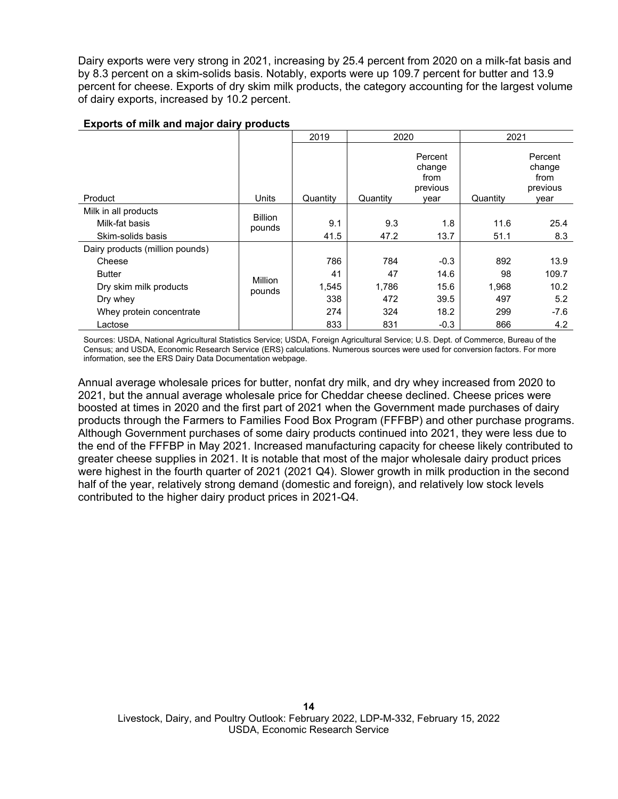Dairy exports were very strong in 2021, increasing by 25.4 percent from 2020 on a milk-fat basis and by 8.3 percent on a skim-solids basis. Notably, exports were up 109.7 percent for butter and 13.9 percent for cheese. Exports of dry skim milk products, the category accounting for the largest volume of dairy exports, increased by 10.2 percent.

|                                 |                          | 2019     | 2020     |                                               | 2021     |                                               |
|---------------------------------|--------------------------|----------|----------|-----------------------------------------------|----------|-----------------------------------------------|
| Product                         | Units                    | Quantity | Quantity | Percent<br>change<br>from<br>previous<br>vear | Quantity | Percent<br>change<br>from<br>previous<br>year |
| Milk in all products            |                          |          |          |                                               |          |                                               |
| Milk-fat basis                  | <b>Billion</b><br>pounds | 9.1      | 9.3      | 1.8                                           | 11.6     | 25.4                                          |
| Skim-solids basis               |                          | 41.5     | 47.2     | 13.7                                          | 51.1     | 8.3                                           |
| Dairy products (million pounds) |                          |          |          |                                               |          |                                               |
| Cheese                          |                          | 786      | 784      | $-0.3$                                        | 892      | 13.9                                          |
| <b>Butter</b>                   | <b>Million</b>           | 41       | 47       | 14.6                                          | 98       | 109.7                                         |
| Dry skim milk products          | pounds                   | 1,545    | 1.786    | 15.6                                          | 1,968    | 10.2                                          |
| Dry whey                        |                          | 338      | 472      | 39.5                                          | 497      | 5.2                                           |
| Whey protein concentrate        |                          | 274      | 324      | 18.2                                          | 299      | $-7.6$                                        |
| Lactose                         |                          | 833      | 831      | $-0.3$                                        | 866      | 4.2                                           |

#### **Exports of milk and major dairy products**

Sources: USDA, National Agricultural Statistics Service; USDA, Foreign Agricultural Service; U.S. Dept. of Commerce, Bureau of the Census; and USDA, Economic Research Service (ERS) calculations. Numerous sources were used for conversion factors. For more information, see the ERS Dairy Data Documentation webpage.

Annual average wholesale prices for butter, nonfat dry milk, and dry whey increased from 2020 to 2021, but the annual average wholesale price for Cheddar cheese declined. Cheese prices were boosted at times in 2020 and the first part of 2021 when the Government made purchases of dairy products through the Farmers to Families Food Box Program (FFFBP) and other purchase programs. Although Government purchases of some dairy products continued into 2021, they were less due to the end of the FFFBP in May 2021. Increased manufacturing capacity for cheese likely contributed to greater cheese supplies in 2021. It is notable that most of the major wholesale dairy product prices were highest in the fourth quarter of 2021 (2021 Q4). Slower growth in milk production in the second half of the year, relatively strong demand (domestic and foreign), and relatively low stock levels contributed to the higher dairy product prices in 2021-Q4.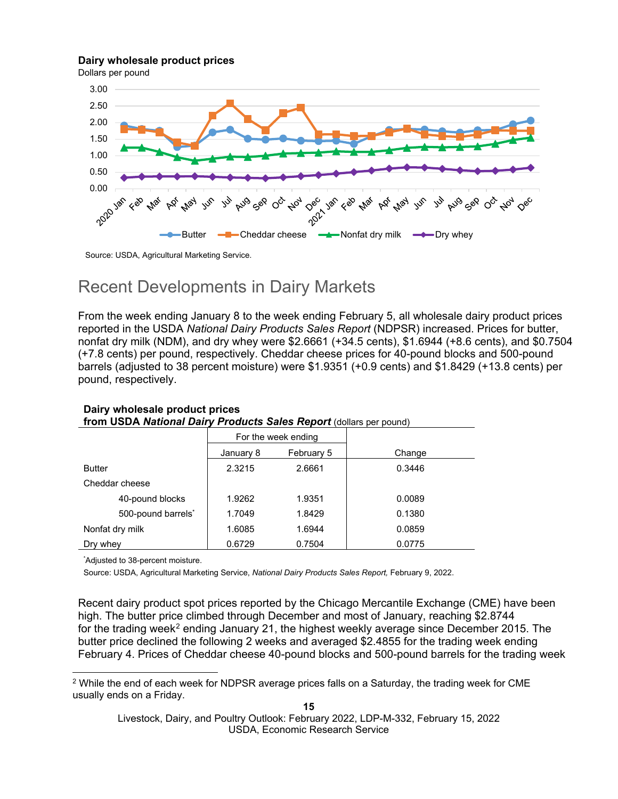#### **Dairy wholesale product prices**

Dollars per pound



Source: USDA, Agricultural Marketing Service.

### Recent Developments in Dairy Markets

From the week ending January 8 to the week ending February 5, all wholesale dairy product prices reported in the USDA *National Dairy Products Sales Report* (NDPSR) increased. Prices for butter, nonfat dry milk (NDM), and dry whey were \$2.6661 (+34.5 cents), \$1.6944 (+8.6 cents), and \$0.7504 (+7.8 cents) per pound, respectively. Cheddar cheese prices for 40-pound blocks and 500-pound barrels (adjusted to 38 percent moisture) were \$1.9351 (+0.9 cents) and \$1.8429 (+13.8 cents) per pound, respectively.

| <b>HOHI OODA HUUGHU DUIFFFFOUUCIS OUICS RCPOIT</b> (GOINGIS PCI POUND) |           |                     |        |  |  |
|------------------------------------------------------------------------|-----------|---------------------|--------|--|--|
|                                                                        |           | For the week ending |        |  |  |
|                                                                        | January 8 | February 5          | Change |  |  |
| <b>Butter</b>                                                          | 2.3215    | 2.6661              | 0.3446 |  |  |
| Cheddar cheese                                                         |           |                     |        |  |  |
| 40-pound blocks                                                        | 1.9262    | 1.9351              | 0.0089 |  |  |
| 500-pound barrels*                                                     | 1.7049    | 1.8429              | 0.1380 |  |  |
| Nonfat dry milk                                                        | 1.6085    | 1.6944              | 0.0859 |  |  |
| Dry whey                                                               | 0.6729    | 0.7504              | 0.0775 |  |  |

#### **Dairy wholesale product prices from USDA** *National Dairy Products Sales Report* (dollars per pound)

\* Adjusted to 38-percent moisture.

Source: USDA, Agricultural Marketing Service, *National Dairy Products Sales Report,* February 9, 2022.

Recent dairy product spot prices reported by the Chicago Mercantile Exchange (CME) have been high. The butter price climbed through December and most of January, reaching \$2.8744 for the trading week<sup>[2](#page-14-0)</sup> ending January 21, the highest weekly average since December 2015. The butter price declined the following 2 weeks and averaged \$2.4855 for the trading week ending February 4. Prices of Cheddar cheese 40-pound blocks and 500-pound barrels for the trading week

<span id="page-14-0"></span><sup>&</sup>lt;sup>2</sup> While the end of each week for NDPSR average prices falls on a Saturday, the trading week for CME usually ends on a Friday.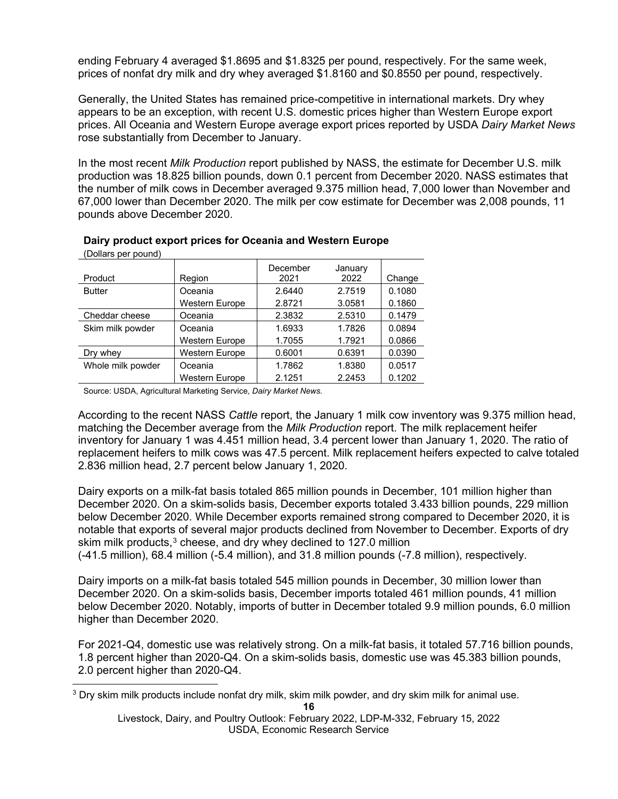ending February 4 averaged \$1.8695 and \$1.8325 per pound, respectively. For the same week, prices of nonfat dry milk and dry whey averaged \$1.8160 and \$0.8550 per pound, respectively.

Generally, the United States has remained price-competitive in international markets. Dry whey appears to be an exception, with recent U.S. domestic prices higher than Western Europe export prices. All Oceania and Western Europe average export prices reported by USDA *Dairy Market News*  rose substantially from December to January.

In the most recent *Milk Production* report published by NASS, the estimate for December U.S. milk production was 18.825 billion pounds, down 0.1 percent from December 2020. NASS estimates that the number of milk cows in December averaged 9.375 million head, 7,000 lower than November and 67,000 lower than December 2020. The milk per cow estimate for December was 2,008 pounds, 11 pounds above December 2020.

| (Dollars per pound) |                       |          |         |        |  |
|---------------------|-----------------------|----------|---------|--------|--|
|                     |                       | December | January |        |  |
| Product             | Region                | 2021     | 2022    | Change |  |
| <b>Butter</b>       | Oceania               | 2.6440   | 2.7519  | 0.1080 |  |
|                     | <b>Western Europe</b> | 2.8721   | 3.0581  | 0.1860 |  |
| Cheddar cheese      | Oceania               | 2.3832   | 2.5310  | 0.1479 |  |
| Skim milk powder    | Oceania               | 1.6933   | 1.7826  | 0.0894 |  |
|                     | <b>Western Europe</b> | 1.7055   | 1.7921  | 0.0866 |  |
| Dry whey            | Western Europe        | 0.6001   | 0.6391  | 0.0390 |  |
| Whole milk powder   | Oceania               | 1.7862   | 1.8380  | 0.0517 |  |
|                     | <b>Western Europe</b> | 2.1251   | 2.2453  | 0.1202 |  |
|                     |                       |          |         |        |  |

#### **Dairy product export prices for Oceania and Western Europe**

Source: USDA, Agricultural Marketing Service, *Dairy Market News.*

According to the recent NASS *Cattle* report, the January 1 milk cow inventory was 9.375 million head, matching the December average from the *Milk Production* report. The milk replacement heifer inventory for January 1 was 4.451 million head, 3.4 percent lower than January 1, 2020. The ratio of replacement heifers to milk cows was 47.5 percent. Milk replacement heifers expected to calve totaled 2.836 million head, 2.7 percent below January 1, 2020.

Dairy exports on a milk-fat basis totaled 865 million pounds in December, 101 million higher than December 2020. On a skim-solids basis, December exports totaled 3.433 billion pounds, 229 million below December 2020. While December exports remained strong compared to December 2020, it is notable that exports of several major products declined from November to December. Exports of dry skim milk products, $3$  cheese, and dry whey declined to 127.0 million

(-41.5 million), 68.4 million (-5.4 million), and 31.8 million pounds (-7.8 million), respectively.

Dairy imports on a milk-fat basis totaled 545 million pounds in December, 30 million lower than December 2020. On a skim-solids basis, December imports totaled 461 million pounds, 41 million below December 2020. Notably, imports of butter in December totaled 9.9 million pounds, 6.0 million higher than December 2020.

For 2021-Q4, domestic use was relatively strong. On a milk-fat basis, it totaled 57.716 billion pounds, 1.8 percent higher than 2020-Q4. On a skim-solids basis, domestic use was 45.383 billion pounds, 2.0 percent higher than 2020-Q4.

**16**

<span id="page-15-0"></span><sup>3</sup> Dry skim milk products include nonfat dry milk, skim milk powder, and dry skim milk for animal use.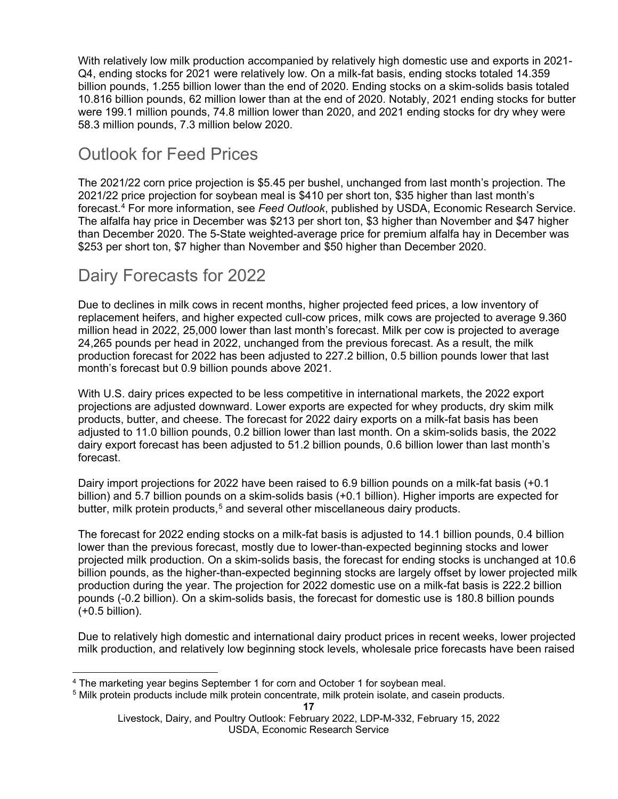With relatively low milk production accompanied by relatively high domestic use and exports in 2021- Q4, ending stocks for 2021 were relatively low. On a milk-fat basis, ending stocks totaled 14.359 billion pounds, 1.255 billion lower than the end of 2020. Ending stocks on a skim-solids basis totaled 10.816 billion pounds, 62 million lower than at the end of 2020. Notably, 2021 ending stocks for butter were 199.1 million pounds, 74.8 million lower than 2020, and 2021 ending stocks for dry whey were 58.3 million pounds, 7.3 million below 2020.

# Outlook for Feed Prices

The 2021/22 corn price projection is \$5.45 per bushel, unchanged from last month's projection. The 2021/22 price projection for soybean meal is \$410 per short ton, \$35 higher than last month's forecast.[4](#page-16-0) For more information, see *Feed Outlook*, published by USDA, Economic Research Service. The alfalfa hay price in December was \$213 per short ton, \$3 higher than November and \$47 higher than December 2020. The 5-State weighted-average price for premium alfalfa hay in December was \$253 per short ton, \$7 higher than November and \$50 higher than December 2020.

## Dairy Forecasts for 2022

Due to declines in milk cows in recent months, higher projected feed prices, a low inventory of replacement heifers, and higher expected cull-cow prices, milk cows are projected to average 9.360 million head in 2022, 25,000 lower than last month's forecast. Milk per cow is projected to average 24,265 pounds per head in 2022, unchanged from the previous forecast. As a result, the milk production forecast for 2022 has been adjusted to 227.2 billion, 0.5 billion pounds lower that last month's forecast but 0.9 billion pounds above 2021.

With U.S. dairy prices expected to be less competitive in international markets, the 2022 export projections are adjusted downward. Lower exports are expected for whey products, dry skim milk products, butter, and cheese. The forecast for 2022 dairy exports on a milk-fat basis has been adjusted to 11.0 billion pounds, 0.2 billion lower than last month. On a skim-solids basis, the 2022 dairy export forecast has been adjusted to 51.2 billion pounds, 0.6 billion lower than last month's forecast.

Dairy import projections for 2022 have been raised to 6.9 billion pounds on a milk-fat basis (+0.1 billion) and 5.7 billion pounds on a skim-solids basis (+0.1 billion). Higher imports are expected for butter, milk protein products,<sup>[5](#page-16-1)</sup> and several other miscellaneous dairy products.

The forecast for 2022 ending stocks on a milk-fat basis is adjusted to 14.1 billion pounds, 0.4 billion lower than the previous forecast, mostly due to lower-than-expected beginning stocks and lower projected milk production. On a skim-solids basis, the forecast for ending stocks is unchanged at 10.6 billion pounds, as the higher-than-expected beginning stocks are largely offset by lower projected milk production during the year. The projection for 2022 domestic use on a milk-fat basis is 222.2 billion pounds (-0.2 billion). On a skim-solids basis, the forecast for domestic use is 180.8 billion pounds (+0.5 billion).

Due to relatively high domestic and international dairy product prices in recent weeks, lower projected milk production, and relatively low beginning stock levels, wholesale price forecasts have been raised

<span id="page-16-0"></span><sup>&</sup>lt;sup>4</sup> The marketing year begins September 1 for corn and October 1 for soybean meal.

<span id="page-16-1"></span><sup>5</sup> Milk protein products include milk protein concentrate, milk protein isolate, and casein products.

Livestock, Dairy, and Poultry Outlook: February 2022, LDP-M-332, February 15, 2022 USDA, Economic Research Service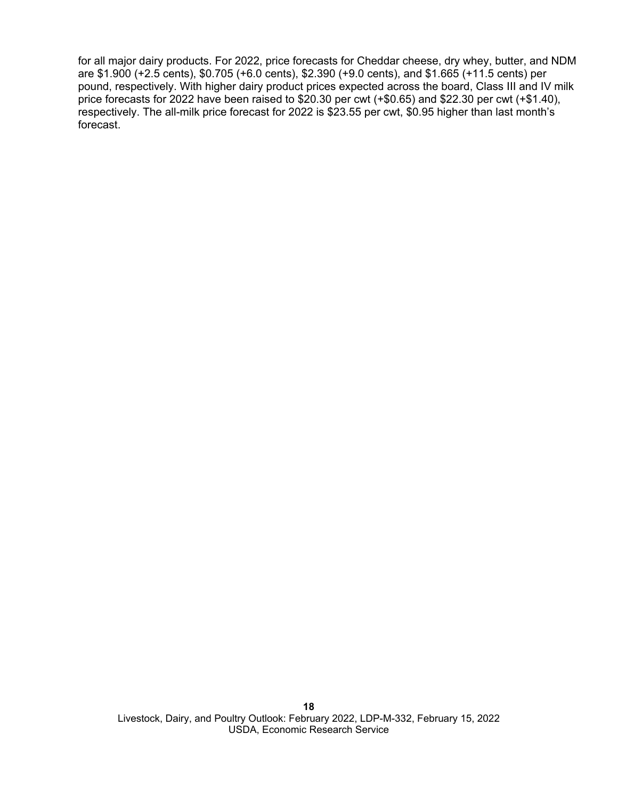for all major dairy products. For 2022, price forecasts for Cheddar cheese, dry whey, butter, and NDM are \$1.900 (+2.5 cents), \$0.705 (+6.0 cents), \$2.390 (+9.0 cents), and \$1.665 (+11.5 cents) per pound, respectively. With higher dairy product prices expected across the board, Class III and IV milk price forecasts for 2022 have been raised to \$20.30 per cwt (+\$0.65) and \$22.30 per cwt (+\$1.40), respectively. The all-milk price forecast for 2022 is \$23.55 per cwt, \$0.95 higher than last month's forecast.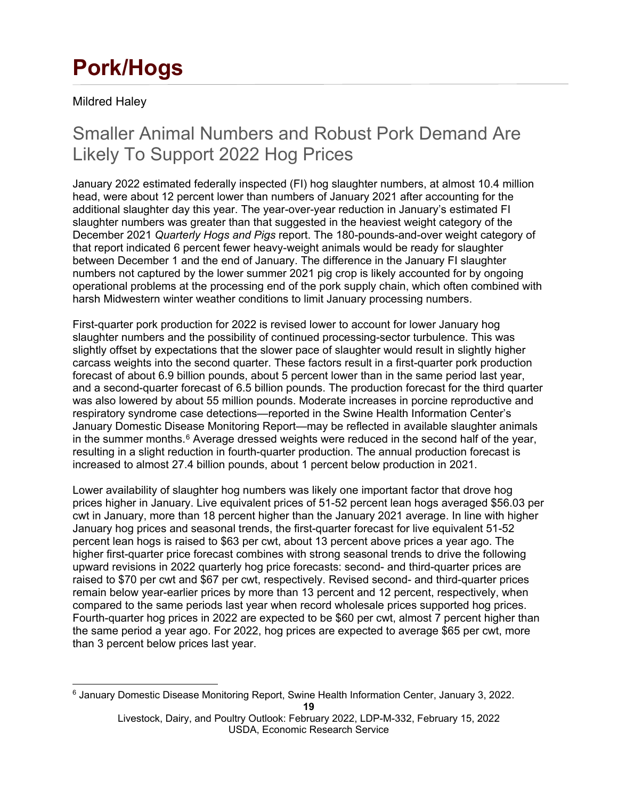# **Pork/Hogs**

Mildred Haley

# Smaller Animal Numbers and Robust Pork Demand Are Likely To Support 2022 Hog Prices

January 2022 estimated federally inspected (FI) hog slaughter numbers, at almost 10.4 million head, were about 12 percent lower than numbers of January 2021 after accounting for the additional slaughter day this year. The year-over-year reduction in January's estimated FI slaughter numbers was greater than that suggested in the heaviest weight category of the December 2021 *Quarterly Hogs and Pigs* report. The 180-pounds-and-over weight category of that report indicated 6 percent fewer heavy-weight animals would be ready for slaughter between December 1 and the end of January. The difference in the January FI slaughter numbers not captured by the lower summer 2021 pig crop is likely accounted for by ongoing operational problems at the processing end of the pork supply chain, which often combined with harsh Midwestern winter weather conditions to limit January processing numbers.

First-quarter pork production for 2022 is revised lower to account for lower January hog slaughter numbers and the possibility of continued processing-sector turbulence. This was slightly offset by expectations that the slower pace of slaughter would result in slightly higher carcass weights into the second quarter. These factors result in a first-quarter pork production forecast of about 6.9 billion pounds, about 5 percent lower than in the same period last year, and a second-quarter forecast of 6.5 billion pounds. The production forecast for the third quarter was also lowered by about 55 million pounds. Moderate increases in porcine reproductive and respiratory syndrome case detections—reported in the Swine Health Information Center's January Domestic Disease Monitoring Report—may be reflected in available slaughter animals in the summer months. $6$  Average dressed weights were reduced in the second half of the year, resulting in a slight reduction in fourth-quarter production. The annual production forecast is increased to almost 27.4 billion pounds, about 1 percent below production in 2021.

Lower availability of slaughter hog numbers was likely one important factor that drove hog prices higher in January. Live equivalent prices of 51-52 percent lean hogs averaged \$56.03 per cwt in January, more than 18 percent higher than the January 2021 average. In line with higher January hog prices and seasonal trends, the first-quarter forecast for live equivalent 51-52 percent lean hogs is raised to \$63 per cwt, about 13 percent above prices a year ago. The higher first-quarter price forecast combines with strong seasonal trends to drive the following upward revisions in 2022 quarterly hog price forecasts: second- and third-quarter prices are raised to \$70 per cwt and \$67 per cwt, respectively. Revised second- and third-quarter prices remain below year-earlier prices by more than 13 percent and 12 percent, respectively, when compared to the same periods last year when record wholesale prices supported hog prices. Fourth-quarter hog prices in 2022 are expected to be \$60 per cwt, almost 7 percent higher than the same period a year ago. For 2022, hog prices are expected to average \$65 per cwt, more than 3 percent below prices last year.

<span id="page-18-0"></span><sup>6</sup> January Domestic Disease Monitoring Report, Swine Health Information Center, January 3, 2022.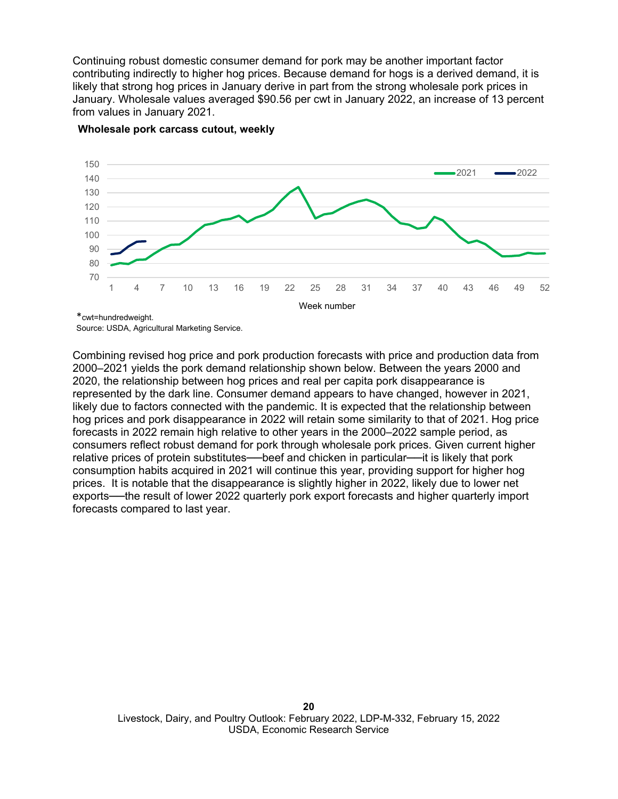Continuing robust domestic consumer demand for pork may be another important factor contributing indirectly to higher hog prices. Because demand for hogs is a derived demand, it is likely that strong hog prices in January derive in part from the strong wholesale pork prices in January. Wholesale values averaged \$90.56 per cwt in January 2022, an increase of 13 percent from values in January 2021.



#### **Wholesale pork carcass cutout, weekly**

\*cwt=hundredweight. Source: USDA, Agricultural Marketing Service.

Combining revised hog price and pork production forecasts with price and production data from 2000–2021 yields the pork demand relationship shown below. Between the years 2000 and 2020, the relationship between hog prices and real per capita pork disappearance is represented by the dark line. Consumer demand appears to have changed, however in 2021, likely due to factors connected with the pandemic. It is expected that the relationship between hog prices and pork disappearance in 2022 will retain some similarity to that of 2021. Hog price forecasts in 2022 remain high relative to other years in the 2000–2022 sample period, as consumers reflect robust demand for pork through wholesale pork prices. Given current higher relative prices of protein substitutes---beef and chicken in particular----it is likely that pork consumption habits acquired in 2021 will continue this year, providing support for higher hog prices. It is notable that the disappearance is slightly higher in 2022, likely due to lower net exports—the result of lower 2022 quarterly pork export forecasts and higher quarterly import forecasts compared to last year.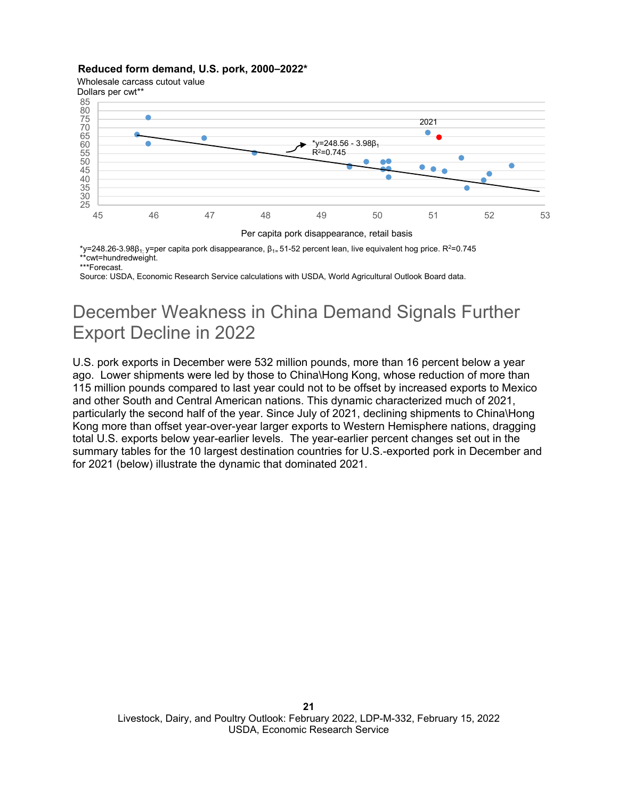#### **Reduced form demand, U.S. pork, 2000–2022\***

Wholesale carcass cutout value



Per capita pork disappearance, retail basis

 $*$ y=248.26-3.98β<sub>1;</sub> y=per capita pork disappearance, β<sub>1=</sub> 51-52 percent lean, live equivalent hog price. R<sup>2=0.745</sup> \*\*cwt=hundredweight.

\*\*\*Forecast.

Source: USDA, Economic Research Service calculations with USDA, World Agricultural Outlook Board data.

# December Weakness in China Demand Signals Further Export Decline in 2022

U.S. pork exports in December were 532 million pounds, more than 16 percent below a year ago. Lower shipments were led by those to China\Hong Kong, whose reduction of more than 115 million pounds compared to last year could not to be offset by increased exports to Mexico and other South and Central American nations. This dynamic characterized much of 2021, particularly the second half of the year. Since July of 2021, declining shipments to China\Hong Kong more than offset year-over-year larger exports to Western Hemisphere nations, dragging total U.S. exports below year-earlier levels. The year-earlier percent changes set out in the summary tables for the 10 largest destination countries for U.S.-exported pork in December and for 2021 (below) illustrate the dynamic that dominated 2021.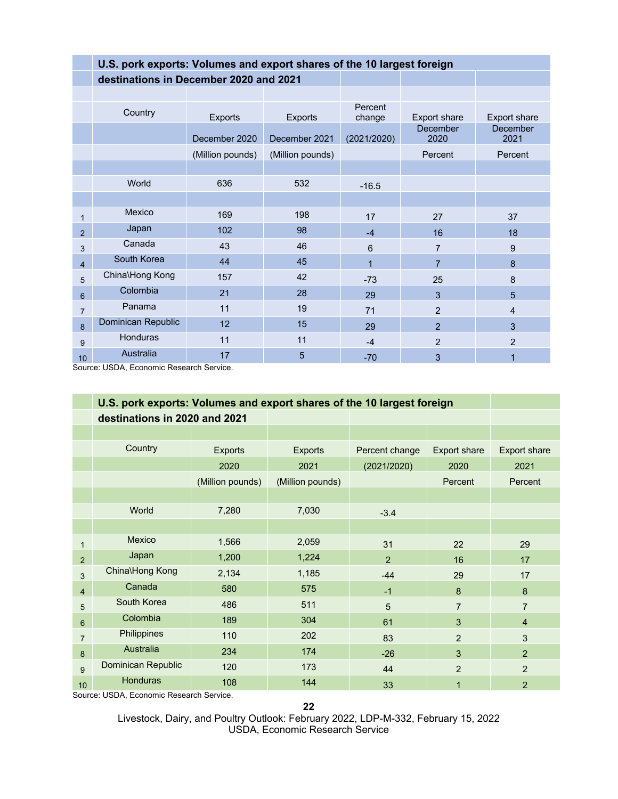|                | U.S. pork exports: Volumes and export shares of the 10 largest foreign |                  |                  |                   |                     |                  |  |
|----------------|------------------------------------------------------------------------|------------------|------------------|-------------------|---------------------|------------------|--|
|                | destinations in December 2020 and 2021                                 |                  |                  |                   |                     |                  |  |
|                |                                                                        |                  |                  |                   |                     |                  |  |
|                | Country                                                                | <b>Exports</b>   | <b>Exports</b>   | Percent<br>change | <b>Export share</b> | Export share     |  |
|                |                                                                        | December 2020    | December 2021    | (2021/2020)       | December<br>2020    | December<br>2021 |  |
|                |                                                                        | (Million pounds) | (Million pounds) |                   | Percent             | Percent          |  |
|                |                                                                        |                  |                  |                   |                     |                  |  |
|                | World                                                                  | 636              | 532              | $-16.5$           |                     |                  |  |
|                |                                                                        |                  |                  |                   |                     |                  |  |
| 1              | Mexico                                                                 | 169              | 198              | 17                | 27                  | 37               |  |
| 2              | Japan                                                                  | 102              | 98               | $-4$              | 16                  | 18               |  |
| 3              | Canada                                                                 | 43               | 46               | 6                 | $\overline{7}$      | 9                |  |
| $\overline{4}$ | South Korea                                                            | 44               | 45               | $\mathbf 1$       | $\overline{7}$      | 8                |  |
| 5              | China\Hong Kong                                                        | 157              | 42               | $-73$             | 25                  | 8                |  |
| 6              | Colombia                                                               | 21               | 28               | 29                | 3                   | 5                |  |
| $\overline{7}$ | Panama                                                                 | 11               | 19               | 71                | $\overline{2}$      | $\overline{4}$   |  |
| 8              | Dominican Republic                                                     | 12               | 15               | 29                | $\overline{2}$      | 3                |  |
| 9              | Honduras                                                               | 11               | 11               | $-4$              | 2                   | 2                |  |
| 10             | Australia                                                              | 17               | 5                | $-70$             | 3                   |                  |  |

Source: USDA, Economic Research Service.

|                 | U.S. pork exports: Volumes and export shares of the 10 largest foreign |                  |                  |                |                     |                     |
|-----------------|------------------------------------------------------------------------|------------------|------------------|----------------|---------------------|---------------------|
|                 | destinations in 2020 and 2021                                          |                  |                  |                |                     |                     |
|                 |                                                                        |                  |                  |                |                     |                     |
|                 | Country                                                                | <b>Exports</b>   | <b>Exports</b>   | Percent change | <b>Export share</b> | <b>Export share</b> |
|                 |                                                                        | 2020             | 2021             | (2021/2020)    | 2020                | 2021                |
|                 |                                                                        | (Million pounds) | (Million pounds) |                | Percent             | Percent             |
|                 |                                                                        |                  |                  |                |                     |                     |
|                 | World                                                                  | 7,280            | 7,030            | $-3.4$         |                     |                     |
|                 |                                                                        |                  |                  |                |                     |                     |
| 1               | Mexico                                                                 | 1,566            | 2,059            | 31             | 22                  | 29                  |
| $\overline{2}$  | Japan                                                                  | 1,200            | 1,224            | $\mathcal{P}$  | 16                  | 17                  |
| 3               | China\Hong Kong                                                        | 2,134            | 1,185            | $-44$          | 29                  | 17                  |
| 4               | Canada                                                                 | 580              | 575              | $-1$           | 8                   | 8                   |
| 5               | South Korea                                                            | 486              | 511              | 5              | $\overline{7}$      | $\overline{7}$      |
| $6\phantom{1}$  | Colombia                                                               | 189              | 304              | 61             | 3                   | $\overline{4}$      |
| $\overline{7}$  | Philippines                                                            | 110              | 202              | 83             | 2                   | 3                   |
| 8               | Australia                                                              | 234              | 174              | $-26$          | 3                   | $\overline{2}$      |
| 9               | Dominican Republic                                                     | 120              | 173              | 44             | $\overline{2}$      | $\overline{2}$      |
| 10 <sup>1</sup> | <b>Honduras</b>                                                        | 108              | 144              | 33             | 1                   | $\overline{2}$      |

Source: USDA, Economic Research Service.

**22**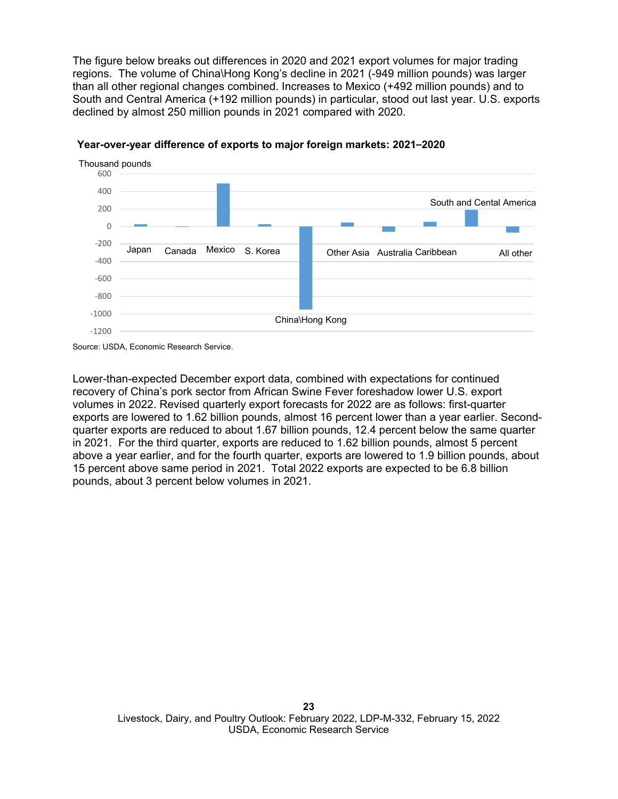The figure below breaks out differences in 2020 and 2021 export volumes for major trading regions. The volume of China\Hong Kong's decline in 2021 (-949 million pounds) was larger than all other regional changes combined. Increases to Mexico (+492 million pounds) and to South and Central America (+192 million pounds) in particular, stood out last year. U.S. exports declined by almost 250 million pounds in 2021 compared with 2020.





Lower-than-expected December export data, combined with expectations for continued recovery of China's pork sector from African Swine Fever foreshadow lower U.S. export volumes in 2022. Revised quarterly export forecasts for 2022 are as follows: first-quarter exports are lowered to 1.62 billion pounds, almost 16 percent lower than a year earlier. Secondquarter exports are reduced to about 1.67 billion pounds, 12.4 percent below the same quarter in 2021. For the third quarter, exports are reduced to 1.62 billion pounds, almost 5 percent above a year earlier, and for the fourth quarter, exports are lowered to 1.9 billion pounds, about 15 percent above same period in 2021. Total 2022 exports are expected to be 6.8 billion pounds, about 3 percent below volumes in 2021.

Source: USDA, Economic Research Service.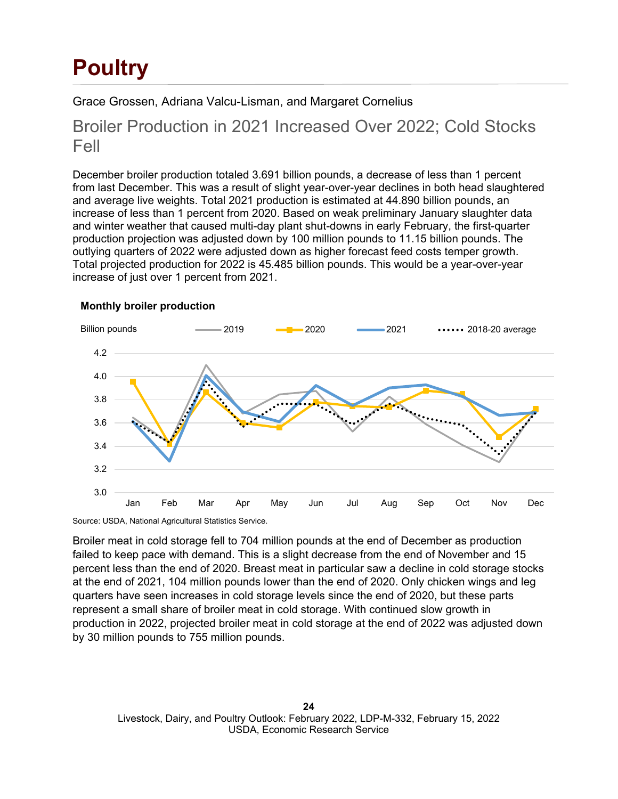# **Poultry**

Grace Grossen, Adriana Valcu-Lisman, and Margaret Cornelius

### Broiler Production in 2021 Increased Over 2022; Cold Stocks Fell

December broiler production totaled 3.691 billion pounds, a decrease of less than 1 percent from last December. This was a result of slight year-over-year declines in both head slaughtered and average live weights. Total 2021 production is estimated at 44.890 billion pounds, an increase of less than 1 percent from 2020. Based on weak preliminary January slaughter data and winter weather that caused multi-day plant shut-downs in early February, the first-quarter production projection was adjusted down by 100 million pounds to 11.15 billion pounds. The outlying quarters of 2022 were adjusted down as higher forecast feed costs temper growth. Total projected production for 2022 is 45.485 billion pounds. This would be a year-over-year increase of just over 1 percent from 2021.



#### **Monthly broiler production**

Source: USDA, National Agricultural Statistics Service.

Broiler meat in cold storage fell to 704 million pounds at the end of December as production failed to keep pace with demand. This is a slight decrease from the end of November and 15 percent less than the end of 2020. Breast meat in particular saw a decline in cold storage stocks at the end of 2021, 104 million pounds lower than the end of 2020. Only chicken wings and leg quarters have seen increases in cold storage levels since the end of 2020, but these parts represent a small share of broiler meat in cold storage. With continued slow growth in production in 2022, projected broiler meat in cold storage at the end of 2022 was adjusted down by 30 million pounds to 755 million pounds.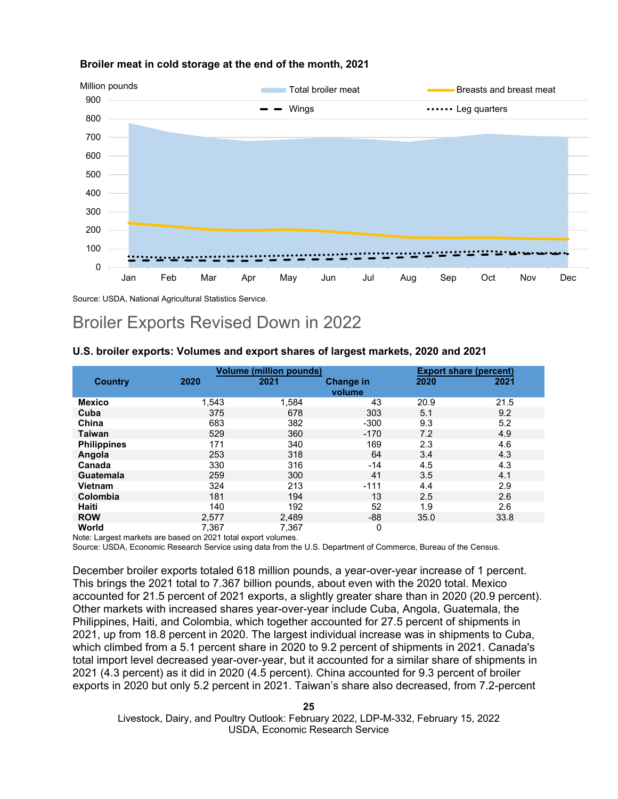

#### **Broiler meat in cold storage at the end of the month, 2021**

Source: USDA, National Agricultural Statistics Service.

### Broiler Exports Revised Down in 2022

#### **U.S. broiler exports: Volumes and export shares of largest markets, 2020 and 2021**

|                    |       | <b>Volume (million pounds)</b> |                  | <b>Export share (percent)</b> |      |
|--------------------|-------|--------------------------------|------------------|-------------------------------|------|
| <b>Country</b>     | 2020  | 2021                           | <b>Change in</b> | 2020                          | 2021 |
|                    |       |                                | volume           |                               |      |
| <b>Mexico</b>      | 1,543 | 1,584                          | 43               | 20.9                          | 21.5 |
| Cuba               | 375   | 678                            | 303              | 5.1                           | 9.2  |
| China              | 683   | 382                            | $-300$           | 9.3                           | 5.2  |
| <b>Taiwan</b>      | 529   | 360                            | $-170$           | 7.2                           | 4.9  |
| <b>Philippines</b> | 171   | 340                            | 169              | 2.3                           | 4.6  |
| Angola             | 253   | 318                            | 64               | 3.4                           | 4.3  |
| Canada             | 330   | 316                            | $-14$            | 4.5                           | 4.3  |
| <b>Guatemala</b>   | 259   | 300                            | 41               | 3.5                           | 4.1  |
| <b>Vietnam</b>     | 324   | 213                            | $-111$           | 4.4                           | 2.9  |
| Colombia           | 181   | 194                            | 13               | 2.5                           | 2.6  |
| Haiti              | 140   | 192                            | 52               | 1.9                           | 2.6  |
| <b>ROW</b>         | 2,577 | 2,489                          | -88              | 35.0                          | 33.8 |
| World              | 7,367 | 7,367                          | 0                |                               |      |

Note: Largest markets are based on 2021 total export volumes.

Source: USDA, Economic Research Service using data from the U.S. Department of Commerce, Bureau of the Census.

December broiler exports totaled 618 million pounds, a year-over-year increase of 1 percent. This brings the 2021 total to 7.367 billion pounds, about even with the 2020 total. Mexico accounted for 21.5 percent of 2021 exports, a slightly greater share than in 2020 (20.9 percent). Other markets with increased shares year-over-year include Cuba, Angola, Guatemala, the Philippines, Haiti, and Colombia, which together accounted for 27.5 percent of shipments in 2021, up from 18.8 percent in 2020. The largest individual increase was in shipments to Cuba, which climbed from a 5.1 percent share in 2020 to 9.2 percent of shipments in 2021. Canada's total import level decreased year-over-year, but it accounted for a similar share of shipments in 2021 (4.3 percent) as it did in 2020 (4.5 percent). China accounted for 9.3 percent of broiler exports in 2020 but only 5.2 percent in 2021. Taiwan's share also decreased, from 7.2-percent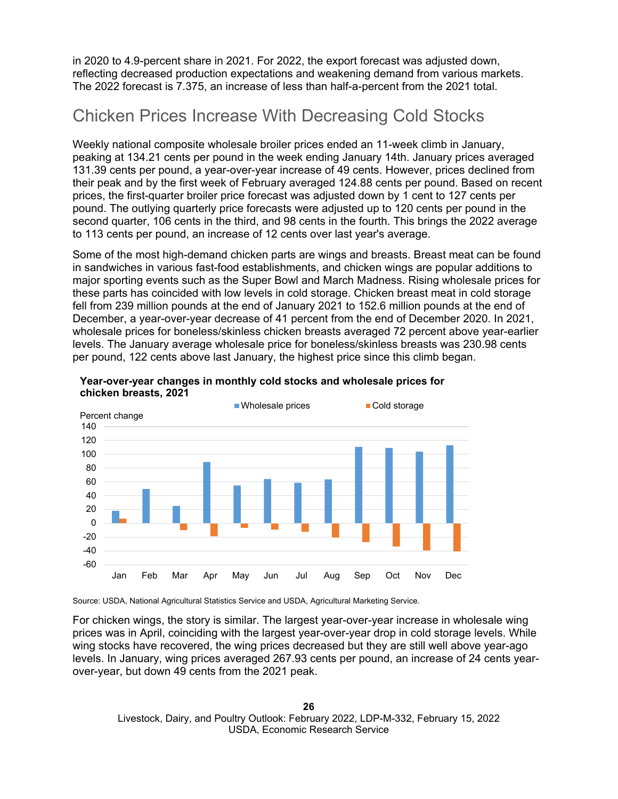in 2020 to 4.9-percent share in 2021. For 2022, the export forecast was adjusted down, reflecting decreased production expectations and weakening demand from various markets. The 2022 forecast is 7.375, an increase of less than half-a-percent from the 2021 total.

# Chicken Prices Increase With Decreasing Cold Stocks

Weekly national composite wholesale broiler prices ended an 11-week climb in January, peaking at 134.21 cents per pound in the week ending January 14th. January prices averaged 131.39 cents per pound, a year-over-year increase of 49 cents. However, prices declined from their peak and by the first week of February averaged 124.88 cents per pound. Based on recent prices, the first-quarter broiler price forecast was adjusted down by 1 cent to 127 cents per pound. The outlying quarterly price forecasts were adjusted up to 120 cents per pound in the second quarter, 106 cents in the third, and 98 cents in the fourth. This brings the 2022 average to 113 cents per pound, an increase of 12 cents over last year's average.

Some of the most high-demand chicken parts are wings and breasts. Breast meat can be found in sandwiches in various fast-food establishments, and chicken wings are popular additions to major sporting events such as the Super Bowl and March Madness. Rising wholesale prices for these parts has coincided with low levels in cold storage. Chicken breast meat in cold storage fell from 239 million pounds at the end of January 2021 to 152.6 million pounds at the end of December, a year-over-year decrease of 41 percent from the end of December 2020. In 2021, wholesale prices for boneless/skinless chicken breasts averaged 72 percent above year-earlier levels. The January average wholesale price for boneless/skinless breasts was 230.98 cents per pound, 122 cents above last January, the highest price since this climb began.





Source: USDA, National Agricultural Statistics Service and USDA, Agricultural Marketing Service.

For chicken wings, the story is similar. The largest year-over-year increase in wholesale wing prices was in April, coinciding with the largest year-over-year drop in cold storage levels. While wing stocks have recovered, the wing prices decreased but they are still well above year-ago levels. In January, wing prices averaged 267.93 cents per pound, an increase of 24 cents yearover-year, but down 49 cents from the 2021 peak.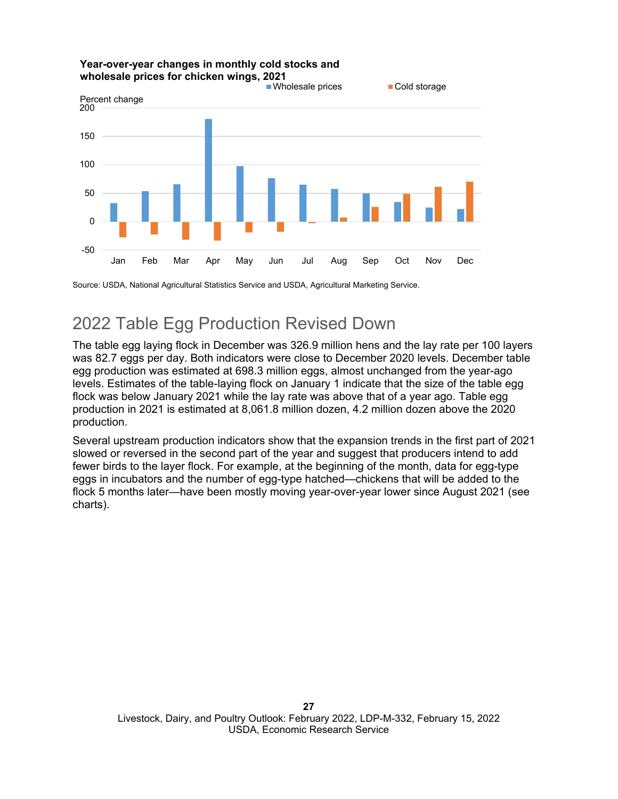

#### **Year-over-year changes in monthly cold stocks and wholesale prices for chicken wings, 2021**

Source: USDA, National Agricultural Statistics Service and USDA, Agricultural Marketing Service.

# 2022 Table Egg Production Revised Down

The table egg laying flock in December was 326.9 million hens and the lay rate per 100 layers was 82.7 eggs per day. Both indicators were close to December 2020 levels. December table egg production was estimated at 698.3 million eggs, almost unchanged from the year-ago levels. Estimates of the table-laying flock on January 1 indicate that the size of the table egg flock was below January 2021 while the lay rate was above that of a year ago. Table egg production in 2021 is estimated at 8,061.8 million dozen, 4.2 million dozen above the 2020 production.

Several upstream production indicators show that the expansion trends in the first part of 2021 slowed or reversed in the second part of the year and suggest that producers intend to add fewer birds to the layer flock. For example, at the beginning of the month, data for egg-type eggs in incubators and the number of egg-type hatched—chickens that will be added to the flock 5 months later—have been mostly moving year-over-year lower since August 2021 (see charts).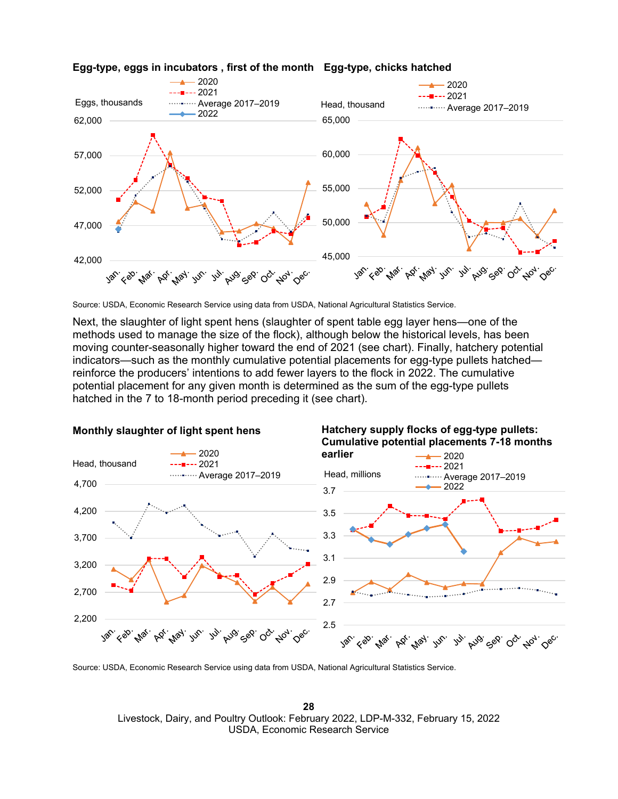

#### **Egg-type, eggs in incubators , first of the month** Egg-type, chicks hatched

Source: USDA, Economic Research Service using data from USDA, National Agricultural Statistics Service.

Next, the slaughter of light spent hens (slaughter of spent table egg layer hens—one of the methods used to manage the size of the flock), although below the historical levels, has been moving counter-seasonally higher toward the end of 2021 (see chart). Finally, hatchery potential indicators—such as the monthly cumulative potential placements for egg-type pullets hatched reinforce the producers' intentions to add fewer layers to the flock in 2022. The cumulative potential placement for any given month is determined as the sum of the egg-type pullets hatched in the 7 to 18-month period preceding it (see chart).



**Monthly slaughter of light spent hens** 

**Hatchery supply flocks of egg-type pullets:** 

Source: USDA, Economic Research Service using data from USDA, National Agricultural Statistics Service.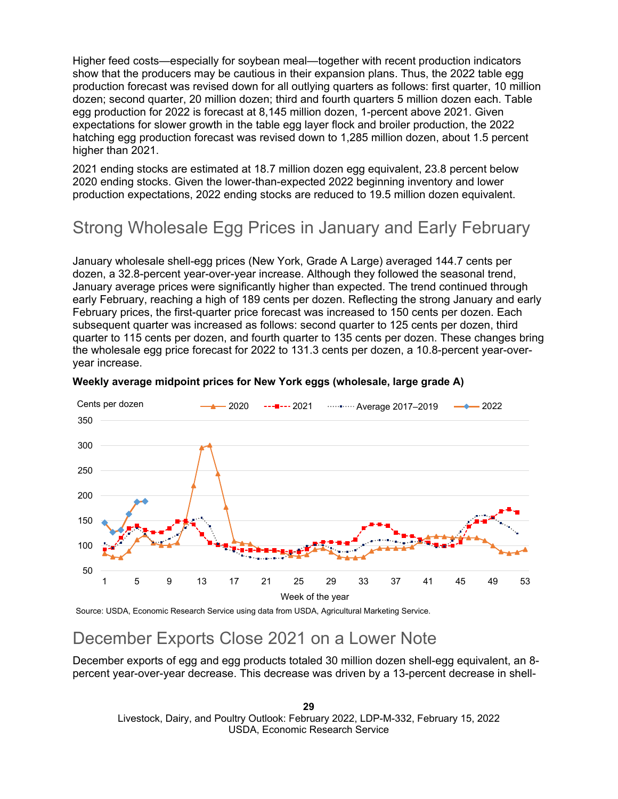Higher feed costs—especially for soybean meal—together with recent production indicators show that the producers may be cautious in their expansion plans. Thus, the 2022 table egg production forecast was revised down for all outlying quarters as follows: first quarter, 10 million dozen; second quarter, 20 million dozen; third and fourth quarters 5 million dozen each. Table egg production for 2022 is forecast at 8,145 million dozen, 1-percent above 2021. Given expectations for slower growth in the table egg layer flock and broiler production, the 2022 hatching egg production forecast was revised down to 1,285 million dozen, about 1.5 percent higher than 2021.

2021 ending stocks are estimated at 18.7 million dozen egg equivalent, 23.8 percent below 2020 ending stocks. Given the lower-than-expected 2022 beginning inventory and lower production expectations, 2022 ending stocks are reduced to 19.5 million dozen equivalent.

# Strong Wholesale Egg Prices in January and Early February

January wholesale shell-egg prices (New York, Grade A Large) averaged 144.7 cents per dozen, a 32.8-percent year-over-year increase. Although they followed the seasonal trend, January average prices were significantly higher than expected. The trend continued through early February, reaching a high of 189 cents per dozen. Reflecting the strong January and early February prices, the first-quarter price forecast was increased to 150 cents per dozen. Each subsequent quarter was increased as follows: second quarter to 125 cents per dozen, third quarter to 115 cents per dozen, and fourth quarter to 135 cents per dozen. These changes bring the wholesale egg price forecast for 2022 to 131.3 cents per dozen, a 10.8-percent year-overyear increase.



#### **Weekly average midpoint prices for New York eggs (wholesale, large grade A)**

Source: USDA, Economic Research Service using data from USDA, Agricultural Marketing Service.

### December Exports Close 2021 on a Lower Note

December exports of egg and egg products totaled 30 million dozen shell-egg equivalent, an 8 percent year-over-year decrease. This decrease was driven by a 13-percent decrease in shell-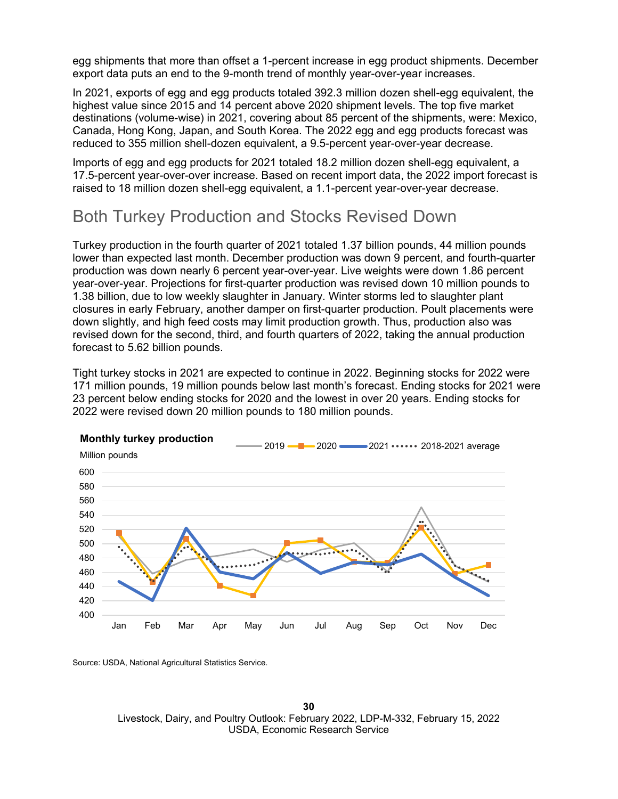egg shipments that more than offset a 1-percent increase in egg product shipments. December export data puts an end to the 9-month trend of monthly year-over-year increases.

In 2021, exports of egg and egg products totaled 392.3 million dozen shell-egg equivalent, the highest value since 2015 and 14 percent above 2020 shipment levels. The top five market destinations (volume-wise) in 2021, covering about 85 percent of the shipments, were: Mexico, Canada, Hong Kong, Japan, and South Korea. The 2022 egg and egg products forecast was reduced to 355 million shell-dozen equivalent, a 9.5-percent year-over-year decrease.

Imports of egg and egg products for 2021 totaled 18.2 million dozen shell-egg equivalent, a 17.5-percent year-over-over increase. Based on recent import data, the 2022 import forecast is raised to 18 million dozen shell-egg equivalent, a 1.1-percent year-over-year decrease.

### Both Turkey Production and Stocks Revised Down

Turkey production in the fourth quarter of 2021 totaled 1.37 billion pounds, 44 million pounds lower than expected last month. December production was down 9 percent, and fourth-quarter production was down nearly 6 percent year-over-year. Live weights were down 1.86 percent year-over-year. Projections for first-quarter production was revised down 10 million pounds to 1.38 billion, due to low weekly slaughter in January. Winter storms led to slaughter plant closures in early February, another damper on first-quarter production. Poult placements were down slightly, and high feed costs may limit production growth. Thus, production also was revised down for the second, third, and fourth quarters of 2022, taking the annual production forecast to 5.62 billion pounds.

Tight turkey stocks in 2021 are expected to continue in 2022. Beginning stocks for 2022 were 171 million pounds, 19 million pounds below last month's forecast. Ending stocks for 2021 were 23 percent below ending stocks for 2020 and the lowest in over 20 years. Ending stocks for 2022 were revised down 20 million pounds to 180 million pounds.



Source: USDA, National Agricultural Statistics Service.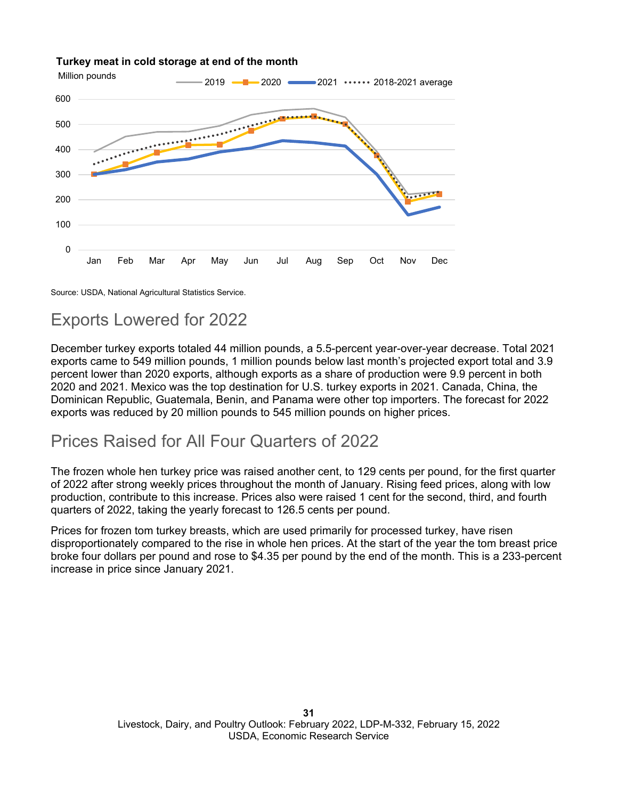

#### **Turkey meat in cold storage at end of the month**

Source: USDA, National Agricultural Statistics Service.

# Exports Lowered for 2022

December turkey exports totaled 44 million pounds, a 5.5-percent year-over-year decrease. Total 2021 exports came to 549 million pounds, 1 million pounds below last month's projected export total and 3.9 percent lower than 2020 exports, although exports as a share of production were 9.9 percent in both 2020 and 2021. Mexico was the top destination for U.S. turkey exports in 2021. Canada, China, the Dominican Republic, Guatemala, Benin, and Panama were other top importers. The forecast for 2022 exports was reduced by 20 million pounds to 545 million pounds on higher prices.

### Prices Raised for All Four Quarters of 2022

The frozen whole hen turkey price was raised another cent, to 129 cents per pound, for the first quarter of 2022 after strong weekly prices throughout the month of January. Rising feed prices, along with low production, contribute to this increase. Prices also were raised 1 cent for the second, third, and fourth quarters of 2022, taking the yearly forecast to 126.5 cents per pound.

Prices for frozen tom turkey breasts, which are used primarily for processed turkey, have risen disproportionately compared to the rise in whole hen prices. At the start of the year the tom breast price broke four dollars per pound and rose to \$4.35 per pound by the end of the month. This is a 233-percent increase in price since January 2021.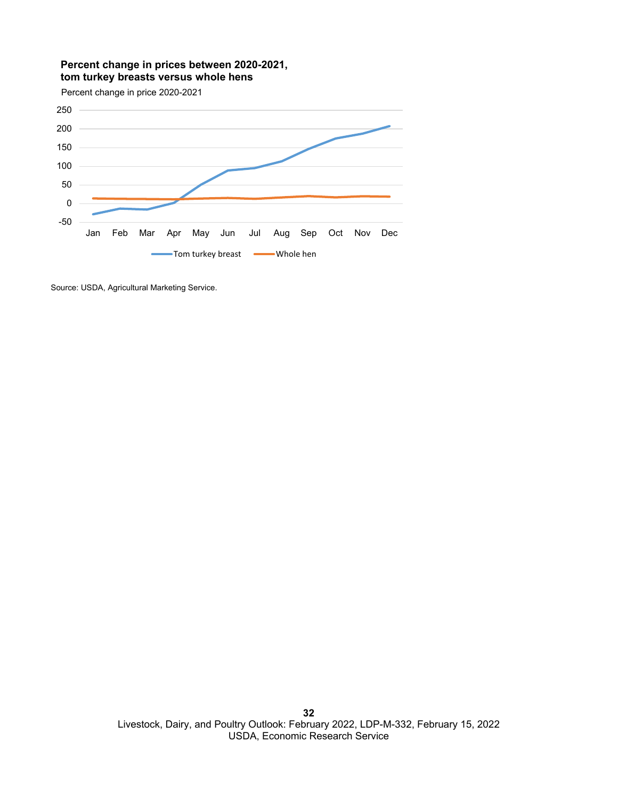#### **Percent change in prices between 2020-2021, tom turkey breasts versus whole hens**

Percent change in price 2020-2021



Source: USDA, Agricultural Marketing Service.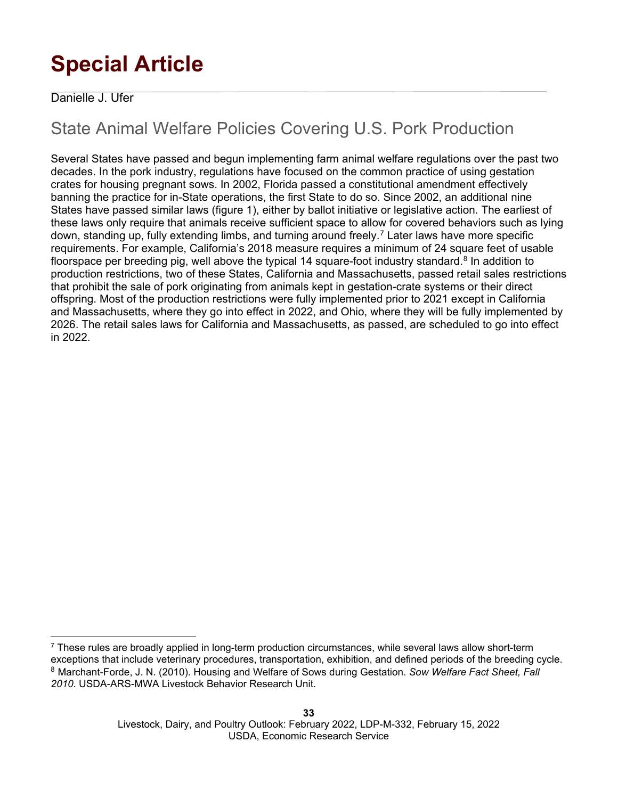# **Special Article**

#### Danielle J. Ufer

# State Animal Welfare Policies Covering U.S. Pork Production

Several States have passed and begun implementing farm animal welfare regulations over the past two decades. In the pork industry, regulations have focused on the common practice of using gestation crates for housing pregnant sows. In 2002, Florida passed a constitutional amendment effectively banning the practice for in-State operations, the first State to do so. Since 2002, an additional nine States have passed similar laws (figure 1), either by ballot initiative or legislative action. The earliest of these laws only require that animals receive sufficient space to allow for covered behaviors such as lying down, standing up, fully extending limbs, and turning around freely.[7](#page-32-0) Later laws have more specific requirements. For example, California's 2018 measure requires a minimum of 24 square feet of usable floorspace per breeding pig, well above the typical 14 square-foot industry standard.<sup>[8](#page-32-1)</sup> In addition to production restrictions, two of these States, California and Massachusetts, passed retail sales restrictions that prohibit the sale of pork originating from animals kept in gestation-crate systems or their direct offspring. Most of the production restrictions were fully implemented prior to 2021 except in California and Massachusetts, where they go into effect in 2022, and Ohio, where they will be fully implemented by 2026. The retail sales laws for California and Massachusetts, as passed, are scheduled to go into effect in 2022.

<span id="page-32-1"></span><span id="page-32-0"></span> $7$  These rules are broadly applied in long-term production circumstances, while several laws allow short-term exceptions that include veterinary procedures, transportation, exhibition, and defined periods of the breeding cycle. <sup>8</sup> Marchant-Forde, J. N. (2010). Housing and Welfare of Sows during Gestation. *Sow Welfare Fact Sheet, Fall 2010*. USDA-ARS-MWA Livestock Behavior Research Unit.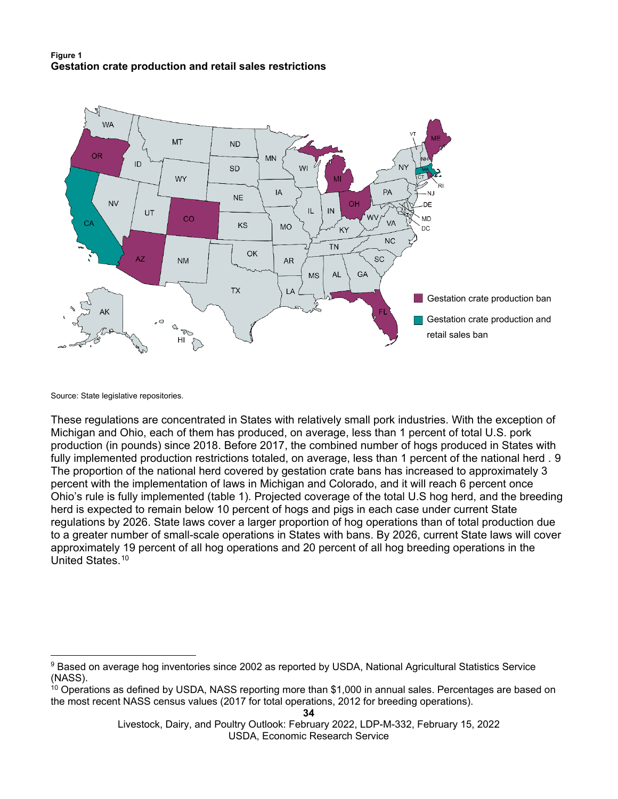#### **Figure 1 Gestation crate production and retail sales restrictions**



Source: State legislative repositories.

These regulations are concentrated in States with relatively small pork industries. With the exception of Michigan and Ohio, each of them has produced, on average, less than 1 percent of total U.S. pork production (in pounds) since 2018. Before 2017, the combined number of hogs produced in States with fully implemented production restrictions totaled, on average, less than 1 percent of the national herd . [9](#page-33-0) The proportion of the national herd covered by gestation crate bans has increased to approximately 3 percent with the implementation of laws in Michigan and Colorado, and it will reach 6 percent once Ohio's rule is fully implemented (table 1). Projected coverage of the total U.S hog herd, and the breeding herd is expected to remain below 10 percent of hogs and pigs in each case under current State regulations by 2026. State laws cover a larger proportion of hog operations than of total production due to a greater number of small-scale operations in States with bans. By 2026, current State laws will cover approximately 19 percent of all hog operations and 20 percent of all hog breeding operations in the United States.[10](#page-33-1)

<span id="page-33-0"></span><sup>9</sup> Based on average hog inventories since 2002 as reported by USDA, National Agricultural Statistics Service (NASS).

<span id="page-33-1"></span> $10$  Operations as defined by USDA, NASS reporting more than \$1,000 in annual sales. Percentages are based on the most recent NASS census values (2017 for total operations, 2012 for breeding operations).